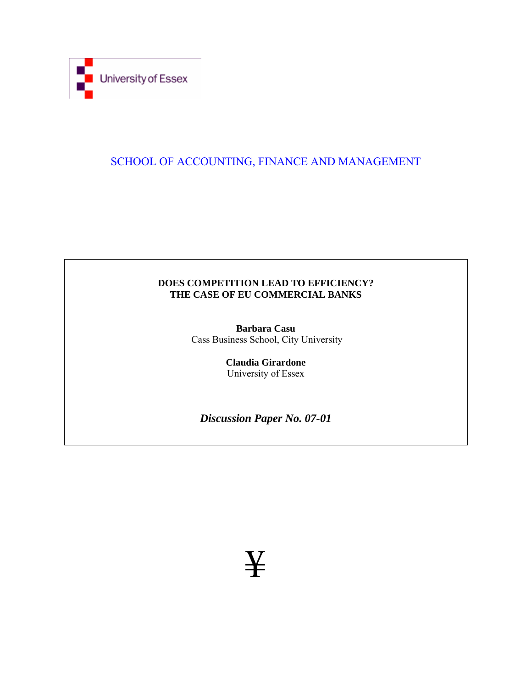

## SCHOOL OF ACCOUNTING, FINANCE AND MANAGEMENT

## **DOES COMPETITION LEAD TO EFFICIENCY? THE CASE OF EU COMMERCIAL BANKS**

**Barbara Casu**  Cass Business School, City University

> **Claudia Girardone**  University of Essex

*Discussion Paper No. 07-01* 

¥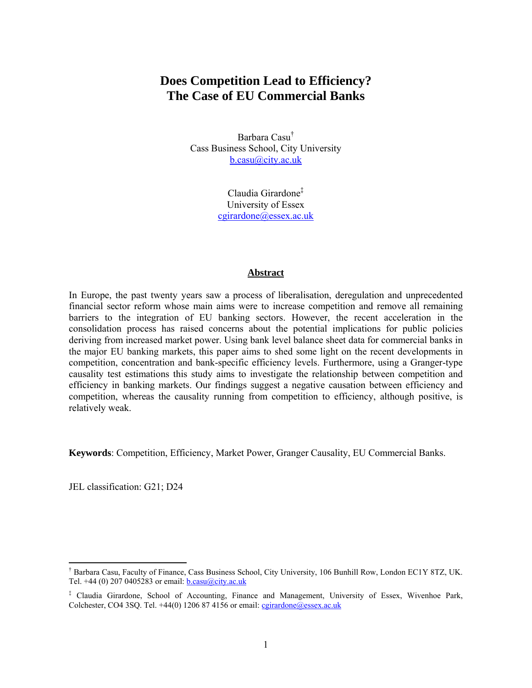# **Does Competition Lead to Efficiency? The Case of EU Commercial Banks**

Barbara Casu† Cass Business School, City University b.casu@city.ac.uk

> Claudia Girardone‡ University of Essex cgirardone@essex.ac.uk

## **Abstract**

In Europe, the past twenty years saw a process of liberalisation, deregulation and unprecedented financial sector reform whose main aims were to increase competition and remove all remaining barriers to the integration of EU banking sectors. However, the recent acceleration in the consolidation process has raised concerns about the potential implications for public policies deriving from increased market power. Using bank level balance sheet data for commercial banks in the major EU banking markets, this paper aims to shed some light on the recent developments in competition, concentration and bank-specific efficiency levels. Furthermore, using a Granger-type causality test estimations this study aims to investigate the relationship between competition and efficiency in banking markets. Our findings suggest a negative causation between efficiency and competition, whereas the causality running from competition to efficiency, although positive, is relatively weak.

**Keywords**: Competition, Efficiency, Market Power, Granger Causality, EU Commercial Banks.

JEL classification: G21; D24

 $\overline{a}$ 

<sup>†</sup> Barbara Casu, Faculty of Finance, Cass Business School, City University, 106 Bunhill Row, London EC1Y 8TZ, UK. Tel. +44 (0) 207 0405283 or email:  $\underline{b}.\underline{casu}(\overline{a}.\underline{c}.\underline{u}$ 

<sup>‡</sup> Claudia Girardone, School of Accounting, Finance and Management, University of Essex, Wivenhoe Park, Colchester, CO4 3SQ. Tel.  $+44(0)$  1206 87 4156 or email: cgirardone@essex.ac.uk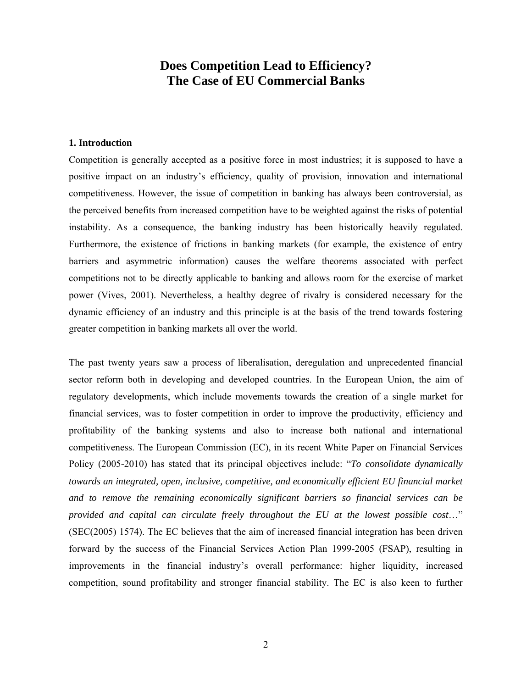## **Does Competition Lead to Efficiency? The Case of EU Commercial Banks**

## **1. Introduction**

Competition is generally accepted as a positive force in most industries; it is supposed to have a positive impact on an industry's efficiency, quality of provision, innovation and international competitiveness. However, the issue of competition in banking has always been controversial, as the perceived benefits from increased competition have to be weighted against the risks of potential instability. As a consequence, the banking industry has been historically heavily regulated. Furthermore, the existence of frictions in banking markets (for example, the existence of entry barriers and asymmetric information) causes the welfare theorems associated with perfect competitions not to be directly applicable to banking and allows room for the exercise of market power (Vives, 2001). Nevertheless, a healthy degree of rivalry is considered necessary for the dynamic efficiency of an industry and this principle is at the basis of the trend towards fostering greater competition in banking markets all over the world.

The past twenty years saw a process of liberalisation, deregulation and unprecedented financial sector reform both in developing and developed countries. In the European Union, the aim of regulatory developments, which include movements towards the creation of a single market for financial services, was to foster competition in order to improve the productivity, efficiency and profitability of the banking systems and also to increase both national and international competitiveness. The European Commission (EC), in its recent White Paper on Financial Services Policy (2005-2010) has stated that its principal objectives include: "*To consolidate dynamically towards an integrated, open, inclusive, competitive, and economically efficient EU financial market and to remove the remaining economically significant barriers so financial services can be provided and capital can circulate freely throughout the EU at the lowest possible cost*…" (SEC(2005) 1574). The EC believes that the aim of increased financial integration has been driven forward by the success of the Financial Services Action Plan 1999-2005 (FSAP), resulting in improvements in the financial industry's overall performance: higher liquidity, increased competition, sound profitability and stronger financial stability. The EC is also keen to further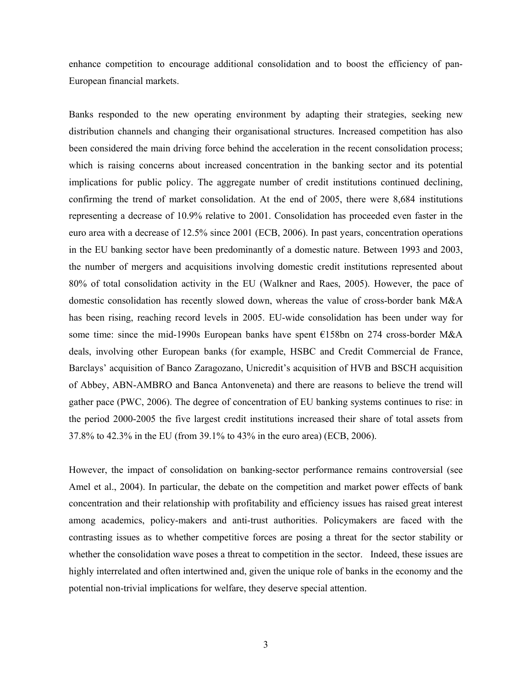enhance competition to encourage additional consolidation and to boost the efficiency of pan-European financial markets.

Banks responded to the new operating environment by adapting their strategies, seeking new distribution channels and changing their organisational structures. Increased competition has also been considered the main driving force behind the acceleration in the recent consolidation process; which is raising concerns about increased concentration in the banking sector and its potential implications for public policy. The aggregate number of credit institutions continued declining, confirming the trend of market consolidation. At the end of 2005, there were 8,684 institutions representing a decrease of 10.9% relative to 2001. Consolidation has proceeded even faster in the euro area with a decrease of 12.5% since 2001 (ECB, 2006). In past years, concentration operations in the EU banking sector have been predominantly of a domestic nature. Between 1993 and 2003, the number of mergers and acquisitions involving domestic credit institutions represented about 80% of total consolidation activity in the EU (Walkner and Raes, 2005). However, the pace of domestic consolidation has recently slowed down, whereas the value of cross-border bank M&A has been rising, reaching record levels in 2005. EU-wide consolidation has been under way for some time: since the mid-1990s European banks have spent €158bn on 274 cross-border M&A deals, involving other European banks (for example, HSBC and Credit Commercial de France, Barclays' acquisition of Banco Zaragozano, Unicredit's acquisition of HVB and BSCH acquisition of Abbey, ABN-AMBRO and Banca Antonveneta) and there are reasons to believe the trend will gather pace (PWC, 2006). The degree of concentration of EU banking systems continues to rise: in the period 2000-2005 the five largest credit institutions increased their share of total assets from 37.8% to 42.3% in the EU (from 39.1% to 43% in the euro area) (ECB, 2006).

However, the impact of consolidation on banking-sector performance remains controversial (see Amel et al., 2004). In particular, the debate on the competition and market power effects of bank concentration and their relationship with profitability and efficiency issues has raised great interest among academics, policy-makers and anti-trust authorities. Policymakers are faced with the contrasting issues as to whether competitive forces are posing a threat for the sector stability or whether the consolidation wave poses a threat to competition in the sector. Indeed, these issues are highly interrelated and often intertwined and, given the unique role of banks in the economy and the potential non-trivial implications for welfare, they deserve special attention.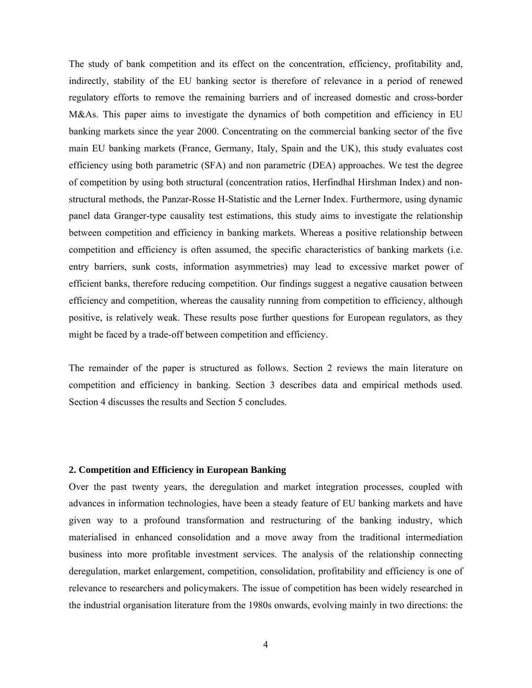The study of bank competition and its effect on the concentration, efficiency, profitability and, indirectly, stability of the EU banking sector is therefore of relevance in a period of renewed regulatory efforts to remove the remaining barriers and of increased domestic and cross-border M&As. This paper aims to investigate the dynamics of both competition and efficiency in EU banking markets since the year 2000. Concentrating on the commercial banking sector of the five main EU banking markets (France, Germany, Italy, Spain and the UK), this study evaluates cost efficiency using both parametric (SFA) and non parametric (DEA) approaches. We test the degree of competition by using both structural (concentration ratios, Herfindhal Hirshman Index) and nonstructural methods, the Panzar-Rosse H-Statistic and the Lerner Index. Furthermore, using dynamic panel data Granger-type causality test estimations, this study aims to investigate the relationship between competition and efficiency in banking markets. Whereas a positive relationship between competition and efficiency is often assumed, the specific characteristics of banking markets (i.e. entry barriers, sunk costs, information asymmetries) may lead to excessive market power of efficient banks, therefore reducing competition. Our findings suggest a negative causation between efficiency and competition, whereas the causality running from competition to efficiency, although positive, is relatively weak. These results pose further questions for European regulators, as they might be faced by a trade-off between competition and efficiency.

The remainder of the paper is structured as follows. Section 2 reviews the main literature on competition and efficiency in banking. Section 3 describes data and empirical methods used. Section 4 discusses the results and Section 5 concludes.

## **2. Competition and Efficiency in European Banking**

Over the past twenty years, the deregulation and market integration processes, coupled with advances in information technologies, have been a steady feature of EU banking markets and have given way to a profound transformation and restructuring of the banking industry, which materialised in enhanced consolidation and a move away from the traditional intermediation business into more profitable investment services. The analysis of the relationship connecting deregulation, market enlargement, competition, consolidation, profitability and efficiency is one of relevance to researchers and policymakers. The issue of competition has been widely researched in the industrial organisation literature from the 1980s onwards, evolving mainly in two directions: the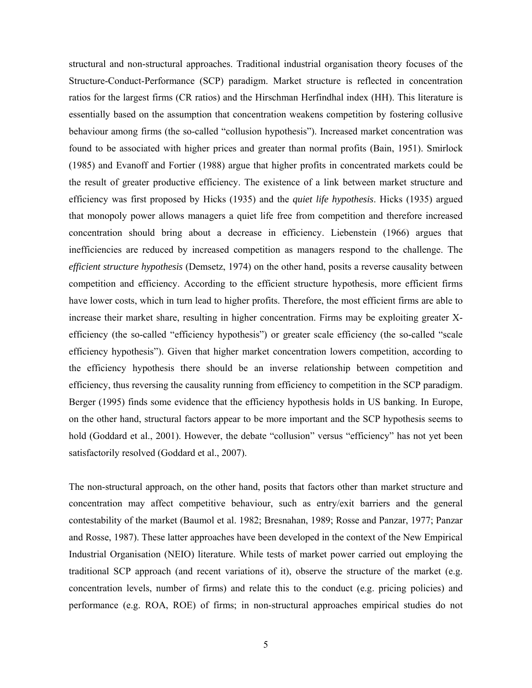structural and non-structural approaches. Traditional industrial organisation theory focuses of the Structure-Conduct-Performance (SCP) paradigm. Market structure is reflected in concentration ratios for the largest firms (CR ratios) and the Hirschman Herfindhal index (HH). This literature is essentially based on the assumption that concentration weakens competition by fostering collusive behaviour among firms (the so-called "collusion hypothesis"). Increased market concentration was found to be associated with higher prices and greater than normal profits (Bain, 1951). Smirlock (1985) and Evanoff and Fortier (1988) argue that higher profits in concentrated markets could be the result of greater productive efficiency. The existence of a link between market structure and efficiency was first proposed by Hicks (1935) and the *quiet life hypothesis*. Hicks (1935) argued that monopoly power allows managers a quiet life free from competition and therefore increased concentration should bring about a decrease in efficiency. Liebenstein (1966) argues that inefficiencies are reduced by increased competition as managers respond to the challenge. The *efficient structure hypothesis* (Demsetz, 1974) on the other hand, posits a reverse causality between competition and efficiency. According to the efficient structure hypothesis, more efficient firms have lower costs, which in turn lead to higher profits. Therefore, the most efficient firms are able to increase their market share, resulting in higher concentration. Firms may be exploiting greater Xefficiency (the so-called "efficiency hypothesis") or greater scale efficiency (the so-called "scale efficiency hypothesis"). Given that higher market concentration lowers competition, according to the efficiency hypothesis there should be an inverse relationship between competition and efficiency, thus reversing the causality running from efficiency to competition in the SCP paradigm. Berger (1995) finds some evidence that the efficiency hypothesis holds in US banking. In Europe, on the other hand, structural factors appear to be more important and the SCP hypothesis seems to hold (Goddard et al., 2001). However, the debate "collusion" versus "efficiency" has not yet been satisfactorily resolved (Goddard et al., 2007).

The non-structural approach, on the other hand, posits that factors other than market structure and concentration may affect competitive behaviour, such as entry/exit barriers and the general contestability of the market (Baumol et al. 1982; Bresnahan, 1989; Rosse and Panzar, 1977; Panzar and Rosse, 1987). These latter approaches have been developed in the context of the New Empirical Industrial Organisation (NEIO) literature. While tests of market power carried out employing the traditional SCP approach (and recent variations of it), observe the structure of the market (e.g. concentration levels, number of firms) and relate this to the conduct (e.g. pricing policies) and performance (e.g. ROA, ROE) of firms; in non-structural approaches empirical studies do not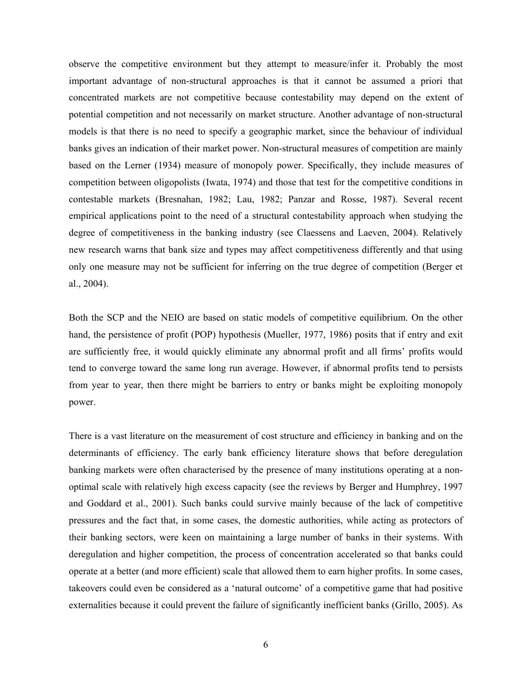observe the competitive environment but they attempt to measure/infer it. Probably the most important advantage of non-structural approaches is that it cannot be assumed a priori that concentrated markets are not competitive because contestability may depend on the extent of potential competition and not necessarily on market structure. Another advantage of non-structural models is that there is no need to specify a geographic market, since the behaviour of individual banks gives an indication of their market power. Non-structural measures of competition are mainly based on the Lerner (1934) measure of monopoly power. Specifically, they include measures of competition between oligopolists (Iwata, 1974) and those that test for the competitive conditions in contestable markets (Bresnahan, 1982; Lau, 1982; Panzar and Rosse, 1987). Several recent empirical applications point to the need of a structural contestability approach when studying the degree of competitiveness in the banking industry (see Claessens and Laeven, 2004). Relatively new research warns that bank size and types may affect competitiveness differently and that using only one measure may not be sufficient for inferring on the true degree of competition (Berger et al., 2004).

Both the SCP and the NEIO are based on static models of competitive equilibrium. On the other hand, the persistence of profit (POP) hypothesis (Mueller, 1977, 1986) posits that if entry and exit are sufficiently free, it would quickly eliminate any abnormal profit and all firms' profits would tend to converge toward the same long run average. However, if abnormal profits tend to persists from year to year, then there might be barriers to entry or banks might be exploiting monopoly power.

There is a vast literature on the measurement of cost structure and efficiency in banking and on the determinants of efficiency. The early bank efficiency literature shows that before deregulation banking markets were often characterised by the presence of many institutions operating at a nonoptimal scale with relatively high excess capacity (see the reviews by Berger and Humphrey, 1997 and Goddard et al., 2001). Such banks could survive mainly because of the lack of competitive pressures and the fact that, in some cases, the domestic authorities, while acting as protectors of their banking sectors, were keen on maintaining a large number of banks in their systems. With deregulation and higher competition, the process of concentration accelerated so that banks could operate at a better (and more efficient) scale that allowed them to earn higher profits. In some cases, takeovers could even be considered as a 'natural outcome' of a competitive game that had positive externalities because it could prevent the failure of significantly inefficient banks (Grillo, 2005). As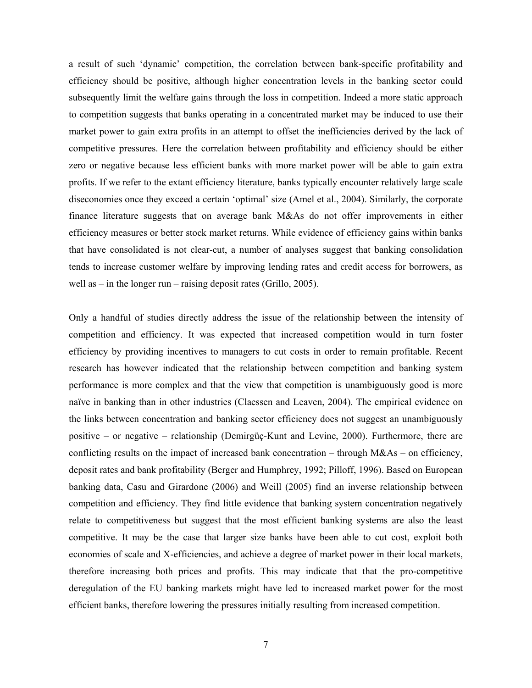a result of such 'dynamic' competition, the correlation between bank-specific profitability and efficiency should be positive, although higher concentration levels in the banking sector could subsequently limit the welfare gains through the loss in competition. Indeed a more static approach to competition suggests that banks operating in a concentrated market may be induced to use their market power to gain extra profits in an attempt to offset the inefficiencies derived by the lack of competitive pressures. Here the correlation between profitability and efficiency should be either zero or negative because less efficient banks with more market power will be able to gain extra profits. If we refer to the extant efficiency literature, banks typically encounter relatively large scale diseconomies once they exceed a certain 'optimal' size (Amel et al., 2004). Similarly, the corporate finance literature suggests that on average bank M&As do not offer improvements in either efficiency measures or better stock market returns. While evidence of efficiency gains within banks that have consolidated is not clear-cut, a number of analyses suggest that banking consolidation tends to increase customer welfare by improving lending rates and credit access for borrowers, as well as – in the longer run – raising deposit rates (Grillo, 2005).

Only a handful of studies directly address the issue of the relationship between the intensity of competition and efficiency. It was expected that increased competition would in turn foster efficiency by providing incentives to managers to cut costs in order to remain profitable. Recent research has however indicated that the relationship between competition and banking system performance is more complex and that the view that competition is unambiguously good is more naïve in banking than in other industries (Claessen and Leaven, 2004). The empirical evidence on the links between concentration and banking sector efficiency does not suggest an unambiguously positive – or negative – relationship (Demirgüç-Kunt and Levine, 2000). Furthermore, there are conflicting results on the impact of increased bank concentration – through  $M&As$  – on efficiency, deposit rates and bank profitability (Berger and Humphrey, 1992; Pilloff, 1996). Based on European banking data, Casu and Girardone (2006) and Weill (2005) find an inverse relationship between competition and efficiency. They find little evidence that banking system concentration negatively relate to competitiveness but suggest that the most efficient banking systems are also the least competitive. It may be the case that larger size banks have been able to cut cost, exploit both economies of scale and X-efficiencies, and achieve a degree of market power in their local markets, therefore increasing both prices and profits. This may indicate that that the pro-competitive deregulation of the EU banking markets might have led to increased market power for the most efficient banks, therefore lowering the pressures initially resulting from increased competition.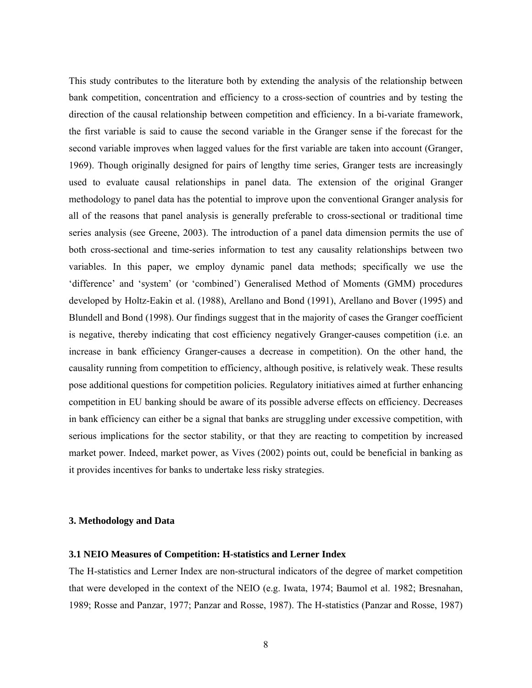This study contributes to the literature both by extending the analysis of the relationship between bank competition, concentration and efficiency to a cross-section of countries and by testing the direction of the causal relationship between competition and efficiency. In a bi-variate framework, the first variable is said to cause the second variable in the Granger sense if the forecast for the second variable improves when lagged values for the first variable are taken into account (Granger, 1969). Though originally designed for pairs of lengthy time series, Granger tests are increasingly used to evaluate causal relationships in panel data. The extension of the original Granger methodology to panel data has the potential to improve upon the conventional Granger analysis for all of the reasons that panel analysis is generally preferable to cross-sectional or traditional time series analysis (see Greene, 2003). The introduction of a panel data dimension permits the use of both cross-sectional and time-series information to test any causality relationships between two variables. In this paper, we employ dynamic panel data methods; specifically we use the 'difference' and 'system' (or 'combined') Generalised Method of Moments (GMM) procedures developed by Holtz-Eakin et al. (1988), Arellano and Bond (1991), Arellano and Bover (1995) and Blundell and Bond (1998). Our findings suggest that in the majority of cases the Granger coefficient is negative, thereby indicating that cost efficiency negatively Granger-causes competition (i.e. an increase in bank efficiency Granger-causes a decrease in competition). On the other hand, the causality running from competition to efficiency, although positive, is relatively weak. These results pose additional questions for competition policies. Regulatory initiatives aimed at further enhancing competition in EU banking should be aware of its possible adverse effects on efficiency. Decreases in bank efficiency can either be a signal that banks are struggling under excessive competition, with serious implications for the sector stability, or that they are reacting to competition by increased market power. Indeed, market power, as Vives (2002) points out, could be beneficial in banking as it provides incentives for banks to undertake less risky strategies.

## **3. Methodology and Data**

## **3.1 NEIO Measures of Competition: H-statistics and Lerner Index**

The H-statistics and Lerner Index are non-structural indicators of the degree of market competition that were developed in the context of the NEIO (e.g. Iwata, 1974; Baumol et al. 1982; Bresnahan, 1989; Rosse and Panzar, 1977; Panzar and Rosse, 1987). The H-statistics (Panzar and Rosse, 1987)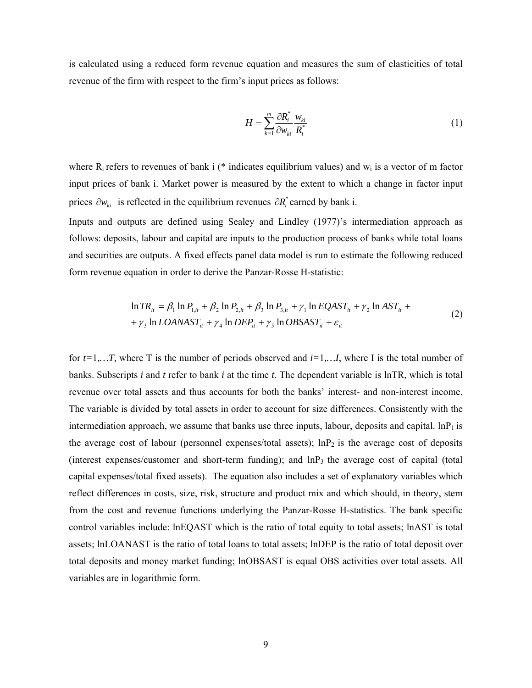is calculated using a reduced form revenue equation and measures the sum of elasticities of total revenue of the firm with respect to the firm's input prices as follows:

$$
H = \sum_{k=1}^{m} \frac{\partial R_i^*}{\partial w_{ki}} \frac{w_{ki}}{R_i^*}
$$
 (1)

where  $R_i$  refers to revenues of bank i (\* indicates equilibrium values) and  $w_i$  is a vector of m factor input prices of bank i. Market power is measured by the extent to which a change in factor input prices  $\partial w_{ki}$  is reflected in the equilibrium revenues  $\partial R_i^*$  earned by bank i.

Inputs and outputs are defined using Sealey and Lindley (1977)'s intermediation approach as follows: deposits, labour and capital are inputs to the production process of banks while total loans and securities are outputs. A fixed effects panel data model is run to estimate the following reduced form revenue equation in order to derive the Panzar-Rosse H-statistic:

$$
\ln TR_{ii} = \beta_1 \ln P_{1,i} + \beta_2 \ln P_{2,i} + \beta_3 \ln P_{3,i} + \gamma_1 \ln EQAST_{ii} + \gamma_2 \ln AST_{ii} + \gamma_3 \ln LOANAST_{ii} + \gamma_4 \ln DEP_{ii} + \gamma_5 \ln OBSAST_{ii} + \varepsilon_{ii}
$$
\n(2)

for  $t=1,...T$ , where T is the number of periods observed and  $i=1,...I$ , where I is the total number of banks. Subscripts *i* and *t* refer to bank *i* at the time *t*. The dependent variable is lnTR, which is total revenue over total assets and thus accounts for both the banks' interest- and non-interest income. The variable is divided by total assets in order to account for size differences. Consistently with the intermediation approach, we assume that banks use three inputs, labour, deposits and capital.  $\ln P_1$  is the average cost of labour (personnel expenses/total assets);  $\ln P_2$  is the average cost of deposits (interest expenses/customer and short-term funding); and  $\ln P_3$  the average cost of capital (total capital expenses/total fixed assets). The equation also includes a set of explanatory variables which reflect differences in costs, size, risk, structure and product mix and which should, in theory, stem from the cost and revenue functions underlying the Panzar-Rosse H-statistics. The bank specific control variables include: lnEQAST which is the ratio of total equity to total assets; lnAST is total assets; lnLOANAST is the ratio of total loans to total assets; lnDEP is the ratio of total deposit over total deposits and money market funding; lnOBSAST is equal OBS activities over total assets. All variables are in logarithmic form.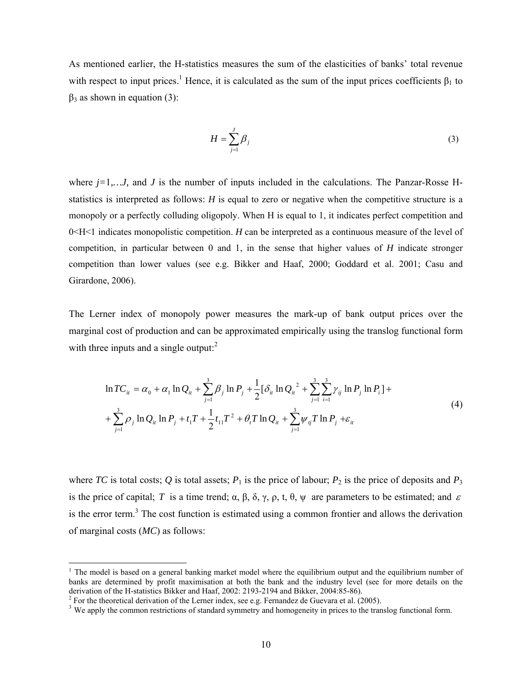As mentioned earlier, the H-statistics measures the sum of the elasticities of banks' total revenue with respect to input prices.<sup>1</sup> Hence, it is calculated as the sum of the input prices coefficients  $\beta_1$  to  $β<sub>3</sub>$  as shown in equation (3):

$$
H = \sum_{j=1}^{J} \beta_j \tag{3}
$$

where  $j=1,...J$ , and  $J$  is the number of inputs included in the calculations. The Panzar-Rosse Hstatistics is interpreted as follows: *H* is equal to zero or negative when the competitive structure is a monopoly or a perfectly colluding oligopoly. When H is equal to 1, it indicates perfect competition and 0<H<1 indicates monopolistic competition. *H* can be interpreted as a continuous measure of the level of competition, in particular between 0 and 1, in the sense that higher values of *H* indicate stronger competition than lower values (see e.g. Bikker and Haaf, 2000; Goddard et al. 2001; Casu and Girardone, 2006).

The Lerner index of monopoly power measures the mark-up of bank output prices over the marginal cost of production and can be approximated empirically using the translog functional form with three inputs and a single output: $<sup>2</sup>$ </sup>

$$
\ln TC_{it} = \alpha_0 + \alpha_1 \ln Q_{it} + \sum_{j=1}^3 \beta_j \ln P_j + \frac{1}{2} [\delta_{it} \ln Q_{it}^2 + \sum_{j=1}^3 \sum_{i=1}^3 \gamma_{ij} \ln P_j \ln P_i] +
$$
  
+ 
$$
\sum_{j=1}^3 \rho_j \ln Q_{it} \ln P_j + t_1 T + \frac{1}{2} t_{11} T^2 + \theta_i T \ln Q_{it} + \sum_{j=1}^3 \psi_{ij} T \ln P_j + \varepsilon_{it}
$$
 (4)

where *TC* is total costs; *Q* is total assets;  $P_1$  is the price of labour;  $P_2$  is the price of deposits and  $P_3$ is the price of capital; *T* is a time trend;  $\alpha$ ,  $\beta$ ,  $\delta$ ,  $\gamma$ ,  $\rho$ ,  $t$ ,  $\theta$ ,  $\psi$  are parameters to be estimated; and  $\varepsilon$ is the error term. $3$  The cost function is estimated using a common frontier and allows the derivation of marginal costs (*MC*) as follows:

 $\overline{a}$ 

<sup>&</sup>lt;sup>1</sup> The model is based on a general banking market model where the equilibrium output and the equilibrium number of banks are determined by profit maximisation at both the bank and the industry level (see for more details on the derivation of the H-statistics Bikker and Haaf, 2002: 2193-2194 and Bikker, 2004:85-86).

<sup>&</sup>lt;sup>2</sup> For the theoretical derivation of the Lerner index, see e.g. Fernandez de Guevara et al. (2005).

<sup>&</sup>lt;sup>3</sup> We apply the common restrictions of standard symmetry and homogeneity in prices to the translog functional form.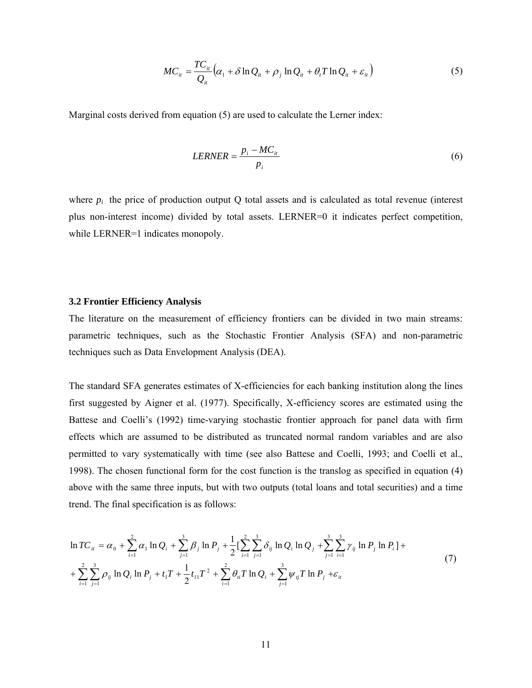$$
MC_{it} = \frac{TC_{it}}{Q_{it}} \left( \alpha_1 + \delta \ln Q_{it} + \rho_j \ln Q_{it} + \theta_t T \ln Q_{it} + \varepsilon_{it} \right)
$$
 (5)

Marginal costs derived from equation (5) are used to calculate the Lerner index:

$$
LERNER = \frac{p_i - MC_{it}}{p_i}
$$
\n<sup>(6)</sup>

where  $p_i$  the price of production output Q total assets and is calculated as total revenue (interest plus non-interest income) divided by total assets. LERNER=0 it indicates perfect competition, while LERNER=1 indicates monopoly.

### **3.2 Frontier Efficiency Analysis**

The literature on the measurement of efficiency frontiers can be divided in two main streams: parametric techniques, such as the Stochastic Frontier Analysis (SFA) and non-parametric techniques such as Data Envelopment Analysis (DEA).

The standard SFA generates estimates of X-efficiencies for each banking institution along the lines first suggested by Aigner et al. (1977). Specifically, X-efficiency scores are estimated using the Battese and Coelli's (1992) time-varying stochastic frontier approach for panel data with firm effects which are assumed to be distributed as truncated normal random variables and are also permitted to vary systematically with time (see also Battese and Coelli, 1993; and Coelli et al., 1998). The chosen functional form for the cost function is the translog as specified in equation (4) above with the same three inputs, but with two outputs (total loans and total securities) and a time trend. The final specification is as follows:

$$
\ln TC_{it} = \alpha_0 + \sum_{i=1}^{2} \alpha_i \ln Q_i + \sum_{j=1}^{3} \beta_j \ln P_j + \frac{1}{2} \left[ \sum_{i=1}^{2} \sum_{j=1}^{3} \delta_{ij} \ln Q_i \ln Q_j + \sum_{j=1}^{3} \sum_{i=1}^{3} \gamma_{ij} \ln P_j \ln P_i \right] +
$$
  
+ 
$$
\sum_{i=1}^{2} \sum_{j=1}^{3} \rho_{ij} \ln Q_i \ln P_j + t_1 T + \frac{1}{2} t_{11} T^2 + \sum_{i=1}^{2} \theta_{ii} T \ln Q_i + \sum_{j=1}^{3} \psi_{ij} T \ln P_j + \varepsilon_{ii}
$$
 (7)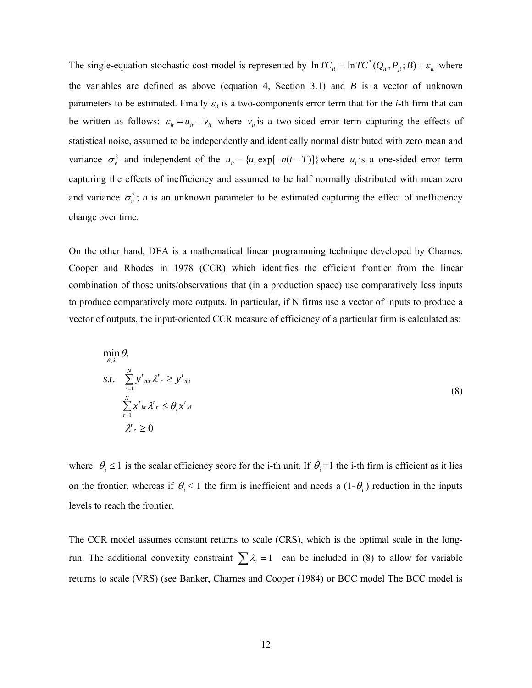The single-equation stochastic cost model is represented by  $\ln TC_i = \ln TC^*(Q_i, P_i, B) + \varepsilon_i$  where the variables are defined as above (equation 4, Section 3.1) and *B* is a vector of unknown parameters to be estimated. Finally <sup>ε</sup>*it* is a two-components error term that for the *i*-th firm that can be written as follows:  $\varepsilon_{it} = u_{it} + v_{it}$  where  $v_{it}$  is a two-sided error term capturing the effects of statistical noise, assumed to be independently and identically normal distributed with zero mean and variance  $\sigma_v^2$  and independent of the  $u_{ii} = \{u_i \exp[-n(t-T)]\}$  where  $u_i$  is a one-sided error term capturing the effects of inefficiency and assumed to be half normally distributed with mean zero and variance  $\sigma_u^2$ ; *n* is an unknown parameter to be estimated capturing the effect of inefficiency change over time.

On the other hand, DEA is a mathematical linear programming technique developed by Charnes, Cooper and Rhodes in 1978 (CCR) which identifies the efficient frontier from the linear combination of those units/observations that (in a production space) use comparatively less inputs to produce comparatively more outputs. In particular, if N firms use a vector of inputs to produce a vector of outputs, the input-oriented CCR measure of efficiency of a particular firm is calculated as:

$$
\min_{\theta, \lambda} \theta_i
$$
\n
$$
s.t. \sum_{r=1}^{N} y^t{}_{mr} \lambda^t{}_{r} \geq y^t{}_{mi}
$$
\n
$$
\sum_{r=1}^{N} x^t{}_{kr} \lambda^t{}_{r} \leq \theta_i x^t{}_{ki}
$$
\n
$$
\lambda^t{}_{r} \geq 0
$$
\n(8)

where  $\theta_i \leq 1$  is the scalar efficiency score for the i-th unit. If  $\theta_i = 1$  the i-th firm is efficient as it lies on the frontier, whereas if  $\theta_i < 1$  the firm is inefficient and needs a  $(1-\theta_i)$  reduction in the inputs levels to reach the frontier.

The CCR model assumes constant returns to scale (CRS), which is the optimal scale in the longrun. The additional convexity constraint  $\sum \lambda_i = 1$  can be included in (8) to allow for variable returns to scale (VRS) (see Banker, Charnes and Cooper (1984) or BCC model The BCC model is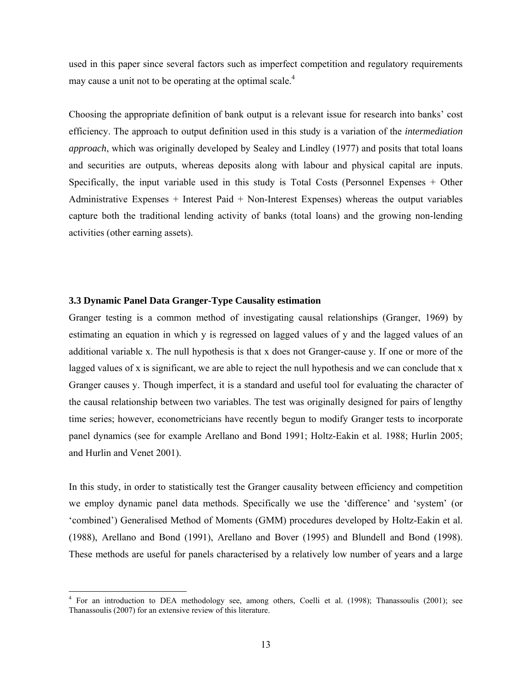used in this paper since several factors such as imperfect competition and regulatory requirements may cause a unit not to be operating at the optimal scale. $4$ 

Choosing the appropriate definition of bank output is a relevant issue for research into banks' cost efficiency. The approach to output definition used in this study is a variation of the *intermediation approach*, which was originally developed by Sealey and Lindley (1977) and posits that total loans and securities are outputs, whereas deposits along with labour and physical capital are inputs. Specifically, the input variable used in this study is Total Costs (Personnel Expenses + Other Administrative Expenses + Interest Paid + Non-Interest Expenses) whereas the output variables capture both the traditional lending activity of banks (total loans) and the growing non-lending activities (other earning assets).

## **3.3 Dynamic Panel Data Granger-Type Causality estimation**

Granger testing is a common method of investigating causal relationships (Granger, 1969) by estimating an equation in which y is regressed on lagged values of y and the lagged values of an additional variable x. The null hypothesis is that x does not Granger-cause y. If one or more of the lagged values of x is significant, we are able to reject the null hypothesis and we can conclude that x Granger causes y. Though imperfect, it is a standard and useful tool for evaluating the character of the causal relationship between two variables. The test was originally designed for pairs of lengthy time series; however, econometricians have recently begun to modify Granger tests to incorporate panel dynamics (see for example Arellano and Bond 1991; Holtz-Eakin et al. 1988; Hurlin 2005; and Hurlin and Venet 2001).

In this study, in order to statistically test the Granger causality between efficiency and competition we employ dynamic panel data methods. Specifically we use the 'difference' and 'system' (or 'combined') Generalised Method of Moments (GMM) procedures developed by Holtz-Eakin et al. (1988), Arellano and Bond (1991), Arellano and Bover (1995) and Blundell and Bond (1998). These methods are useful for panels characterised by a relatively low number of years and a large

 4 For an introduction to DEA methodology see, among others, Coelli et al. (1998); Thanassoulis (2001); see Thanassoulis (2007) for an extensive review of this literature.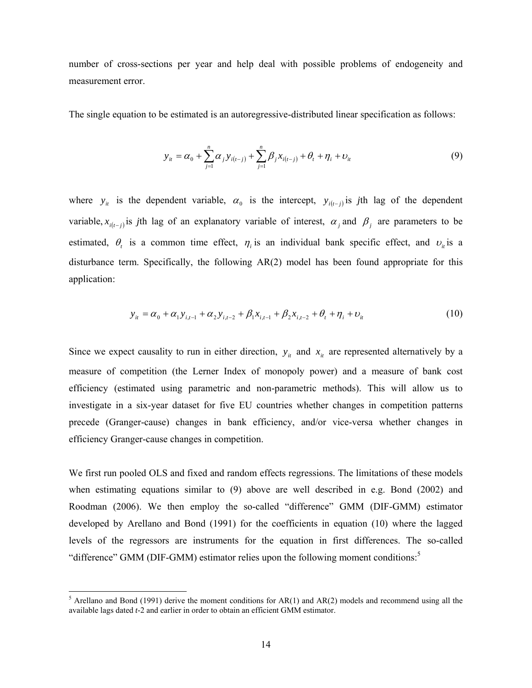number of cross-sections per year and help deal with possible problems of endogeneity and measurement error.

The single equation to be estimated is an autoregressive-distributed linear specification as follows:

$$
y_{it} = \alpha_0 + \sum_{j=1}^{n} \alpha_j y_{i(t-j)} + \sum_{j=1}^{n} \beta_j x_{i(t-j)} + \theta_t + \eta_i + \nu_{it}
$$
(9)

where  $y_i$  is the dependent variable,  $\alpha_0$  is the intercept,  $y_{i(t-i)}$  is *j*th lag of the dependent variable,  $x_{i(t-j)}$  *is j*th lag of an explanatory variable of interest,  $\alpha_i$  and  $\beta_j$  are parameters to be estimated,  $\theta_t$  is a common time effect,  $\eta_i$  is an individual bank specific effect, and  $v_i$  is a disturbance term. Specifically, the following AR(2) model has been found appropriate for this application:

$$
y_{it} = \alpha_0 + \alpha_1 y_{i,t-1} + \alpha_2 y_{i,t-2} + \beta_1 x_{i,t-1} + \beta_2 x_{i,t-2} + \theta_t + \eta_i + \nu_{it}
$$
(10)

Since we expect causality to run in either direction,  $y_i$  and  $x_i$  are represented alternatively by a measure of competition (the Lerner Index of monopoly power) and a measure of bank cost efficiency (estimated using parametric and non-parametric methods). This will allow us to investigate in a six-year dataset for five EU countries whether changes in competition patterns precede (Granger-cause) changes in bank efficiency, and/or vice-versa whether changes in efficiency Granger-cause changes in competition.

We first run pooled OLS and fixed and random effects regressions. The limitations of these models when estimating equations similar to (9) above are well described in e.g. Bond (2002) and Roodman (2006). We then employ the so-called "difference" GMM (DIF-GMM) estimator developed by Arellano and Bond (1991) for the coefficients in equation (10) where the lagged levels of the regressors are instruments for the equation in first differences. The so-called "difference" GMM (DIF-GMM) estimator relies upon the following moment conditions:<sup>5</sup>

<sup>&</sup>lt;sup>5</sup> Arellano and Bond (1991) derive the moment conditions for AR(1) and AR(2) models and recommend using all the available lags dated *t-*2 and earlier in order to obtain an efficient GMM estimator.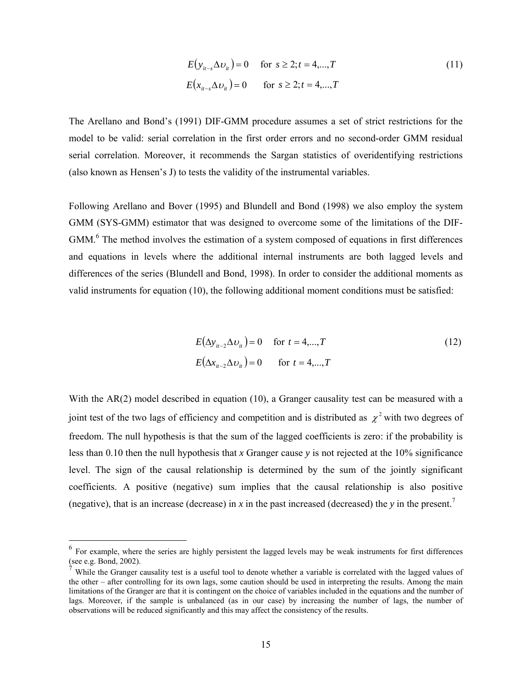$$
E(y_{it-s} \Delta v_{it}) = 0 \quad \text{for } s \ge 2; t = 4,...,T
$$
  
\n
$$
E(x_{it-s} \Delta v_{it}) = 0 \quad \text{for } s \ge 2; t = 4,...,T
$$
\n(11)

The Arellano and Bond's (1991) DIF-GMM procedure assumes a set of strict restrictions for the model to be valid: serial correlation in the first order errors and no second-order GMM residual serial correlation. Moreover, it recommends the Sargan statistics of overidentifying restrictions (also known as Hensen's J) to tests the validity of the instrumental variables.

Following Arellano and Bover (1995) and Blundell and Bond (1998) we also employ the system GMM (SYS-GMM) estimator that was designed to overcome some of the limitations of the DIF-GMM.<sup>6</sup> The method involves the estimation of a system composed of equations in first differences and equations in levels where the additional internal instruments are both lagged levels and differences of the series (Blundell and Bond, 1998). In order to consider the additional moments as valid instruments for equation (10), the following additional moment conditions must be satisfied:

$$
E(\Delta y_{it-2} \Delta v_{it}) = 0 \quad \text{for } t = 4,...,T
$$
  
\n
$$
E(\Delta x_{it-2} \Delta v_{it}) = 0 \quad \text{for } t = 4,...,T
$$
\n(12)

With the AR(2) model described in equation (10), a Granger causality test can be measured with a joint test of the two lags of efficiency and competition and is distributed as  $\chi^2$  with two degrees of freedom. The null hypothesis is that the sum of the lagged coefficients is zero: if the probability is less than 0.10 then the null hypothesis that *x* Granger cause *y* is not rejected at the 10% significance level. The sign of the causal relationship is determined by the sum of the jointly significant coefficients. A positive (negative) sum implies that the causal relationship is also positive (negative), that is an increase (decrease) in  $x$  in the past increased (decreased) the  $y$  in the present.<sup>7</sup>

 $\overline{a}$ 

<sup>6</sup> For example, where the series are highly persistent the lagged levels may be weak instruments for first differences (see e.g. Bond, 2002).

While the Granger causality test is a useful tool to denote whether a variable is correlated with the lagged values of the other – after controlling for its own lags, some caution should be used in interpreting the results. Among the main limitations of the Granger are that it is contingent on the choice of variables included in the equations and the number of lags. Moreover, if the sample is unbalanced (as in our case) by increasing the number of lags, the number of observations will be reduced significantly and this may affect the consistency of the results.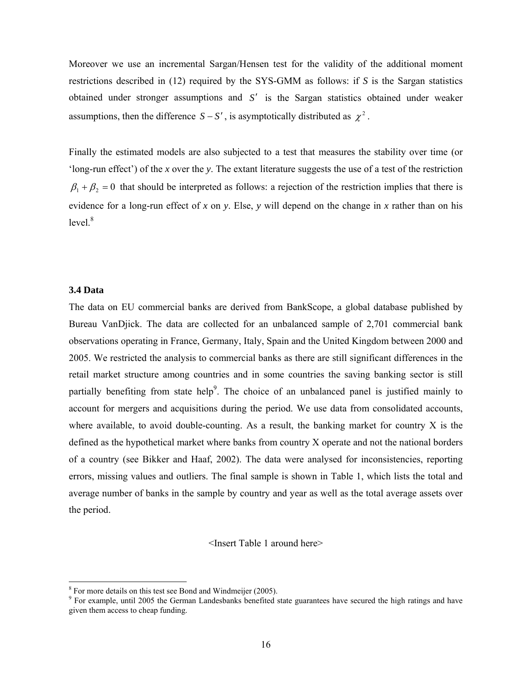Moreover we use an incremental Sargan/Hensen test for the validity of the additional moment restrictions described in (12) required by the SYS-GMM as follows: if *S* is the Sargan statistics obtained under stronger assumptions and *S*′ is the Sargan statistics obtained under weaker assumptions, then the difference  $S - S'$ , is asymptotically distributed as  $\chi^2$ .

Finally the estimated models are also subjected to a test that measures the stability over time (or 'long-run effect') of the *x* over the *y*. The extant literature suggests the use of a test of the restriction  $\beta_1 + \beta_2 = 0$  that should be interpreted as follows: a rejection of the restriction implies that there is evidence for a long-run effect of *x* on *y*. Else, *y* will depend on the change in *x* rather than on his  $level<sup>8</sup>$ 

## **3.4 Data**

 $\overline{a}$ 

The data on EU commercial banks are derived from BankScope, a global database published by Bureau VanDjick. The data are collected for an unbalanced sample of 2,701 commercial bank observations operating in France, Germany, Italy, Spain and the United Kingdom between 2000 and 2005. We restricted the analysis to commercial banks as there are still significant differences in the retail market structure among countries and in some countries the saving banking sector is still partially benefiting from state help<sup>9</sup>. The choice of an unbalanced panel is justified mainly to account for mergers and acquisitions during the period. We use data from consolidated accounts, where available, to avoid double-counting. As a result, the banking market for country  $X$  is the defined as the hypothetical market where banks from country X operate and not the national borders of a country (see Bikker and Haaf, 2002). The data were analysed for inconsistencies, reporting errors, missing values and outliers. The final sample is shown in Table 1, which lists the total and average number of banks in the sample by country and year as well as the total average assets over the period.

<Insert Table 1 around here>

<sup>&</sup>lt;sup>8</sup> For more details on this test see Bond and Windmeijer (2005).

<sup>&</sup>lt;sup>9</sup> For example, until 2005 the German Landesbanks benefited state guarantees have secured the high ratings and have given them access to cheap funding.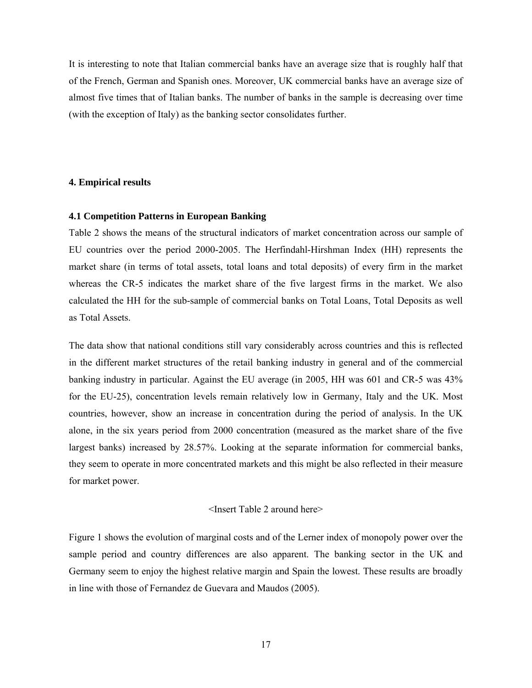It is interesting to note that Italian commercial banks have an average size that is roughly half that of the French, German and Spanish ones. Moreover, UK commercial banks have an average size of almost five times that of Italian banks. The number of banks in the sample is decreasing over time (with the exception of Italy) as the banking sector consolidates further.

## **4. Empirical results**

## **4.1 Competition Patterns in European Banking**

Table 2 shows the means of the structural indicators of market concentration across our sample of EU countries over the period 2000-2005. The Herfindahl-Hirshman Index (HH) represents the market share (in terms of total assets, total loans and total deposits) of every firm in the market whereas the CR-5 indicates the market share of the five largest firms in the market. We also calculated the HH for the sub-sample of commercial banks on Total Loans, Total Deposits as well as Total Assets.

The data show that national conditions still vary considerably across countries and this is reflected in the different market structures of the retail banking industry in general and of the commercial banking industry in particular. Against the EU average (in 2005, HH was 601 and CR-5 was 43% for the EU-25), concentration levels remain relatively low in Germany, Italy and the UK. Most countries, however, show an increase in concentration during the period of analysis. In the UK alone, in the six years period from 2000 concentration (measured as the market share of the five largest banks) increased by 28.57%. Looking at the separate information for commercial banks, they seem to operate in more concentrated markets and this might be also reflected in their measure for market power.

## <Insert Table 2 around here>

Figure 1 shows the evolution of marginal costs and of the Lerner index of monopoly power over the sample period and country differences are also apparent. The banking sector in the UK and Germany seem to enjoy the highest relative margin and Spain the lowest. These results are broadly in line with those of Fernandez de Guevara and Maudos (2005).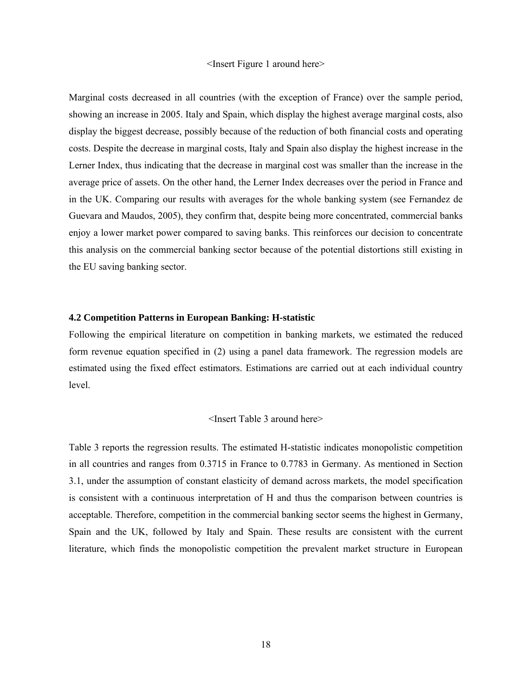### <Insert Figure 1 around here>

Marginal costs decreased in all countries (with the exception of France) over the sample period, showing an increase in 2005. Italy and Spain, which display the highest average marginal costs, also display the biggest decrease, possibly because of the reduction of both financial costs and operating costs. Despite the decrease in marginal costs, Italy and Spain also display the highest increase in the Lerner Index, thus indicating that the decrease in marginal cost was smaller than the increase in the average price of assets. On the other hand, the Lerner Index decreases over the period in France and in the UK. Comparing our results with averages for the whole banking system (see Fernandez de Guevara and Maudos, 2005), they confirm that, despite being more concentrated, commercial banks enjoy a lower market power compared to saving banks. This reinforces our decision to concentrate this analysis on the commercial banking sector because of the potential distortions still existing in the EU saving banking sector.

## **4.2 Competition Patterns in European Banking: H-statistic**

Following the empirical literature on competition in banking markets, we estimated the reduced form revenue equation specified in (2) using a panel data framework. The regression models are estimated using the fixed effect estimators. Estimations are carried out at each individual country level.

### <Insert Table 3 around here>

Table 3 reports the regression results. The estimated H-statistic indicates monopolistic competition in all countries and ranges from 0.3715 in France to 0.7783 in Germany. As mentioned in Section 3.1, under the assumption of constant elasticity of demand across markets, the model specification is consistent with a continuous interpretation of H and thus the comparison between countries is acceptable. Therefore, competition in the commercial banking sector seems the highest in Germany, Spain and the UK, followed by Italy and Spain. These results are consistent with the current literature, which finds the monopolistic competition the prevalent market structure in European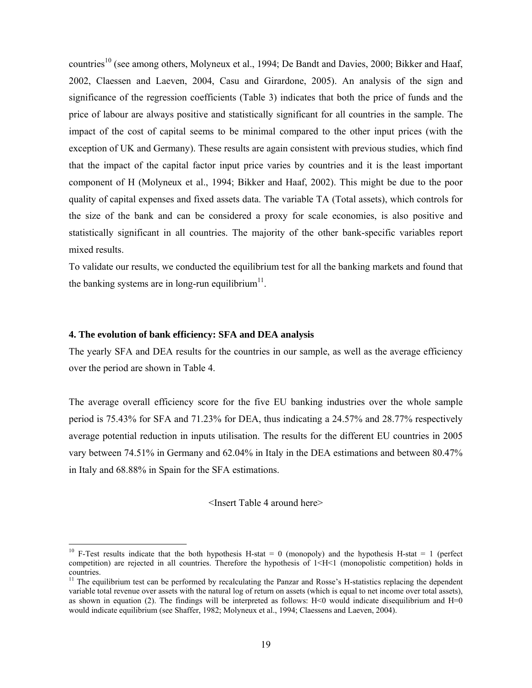countries<sup>10</sup> (see among others, Molyneux et al., 1994; De Bandt and Davies, 2000; Bikker and Haaf, 2002, Claessen and Laeven, 2004, Casu and Girardone, 2005). An analysis of the sign and significance of the regression coefficients (Table 3) indicates that both the price of funds and the price of labour are always positive and statistically significant for all countries in the sample. The impact of the cost of capital seems to be minimal compared to the other input prices (with the exception of UK and Germany). These results are again consistent with previous studies, which find that the impact of the capital factor input price varies by countries and it is the least important component of H (Molyneux et al., 1994; Bikker and Haaf, 2002). This might be due to the poor quality of capital expenses and fixed assets data. The variable TA (Total assets), which controls for the size of the bank and can be considered a proxy for scale economies, is also positive and statistically significant in all countries. The majority of the other bank-specific variables report mixed results.

To validate our results, we conducted the equilibrium test for all the banking markets and found that the banking systems are in long-run equilibrium<sup>11</sup>.

## **4. The evolution of bank efficiency: SFA and DEA analysis**

 $\overline{a}$ 

The yearly SFA and DEA results for the countries in our sample, as well as the average efficiency over the period are shown in Table 4.

The average overall efficiency score for the five EU banking industries over the whole sample period is 75.43% for SFA and 71.23% for DEA, thus indicating a 24.57% and 28.77% respectively average potential reduction in inputs utilisation. The results for the different EU countries in 2005 vary between 74.51% in Germany and 62.04% in Italy in the DEA estimations and between 80.47% in Italy and 68.88% in Spain for the SFA estimations.

<Insert Table 4 around here>

<sup>&</sup>lt;sup>10</sup> F-Test results indicate that the both hypothesis H-stat = 0 (monopoly) and the hypothesis H-stat = 1 (perfect competition) are rejected in all countries. Therefore the hypothesis of 1<H<1 (monopolistic competition) holds in countries.

 $11$  The equilibrium test can be performed by recalculating the Panzar and Rosse's H-statistics replacing the dependent variable total revenue over assets with the natural log of return on assets (which is equal to net income over total assets), as shown in equation (2). The findings will be interpreted as follows:  $H<0$  would indicate disequilibrium and  $H=0$ would indicate equilibrium (see Shaffer, 1982; Molyneux et al., 1994; Claessens and Laeven, 2004).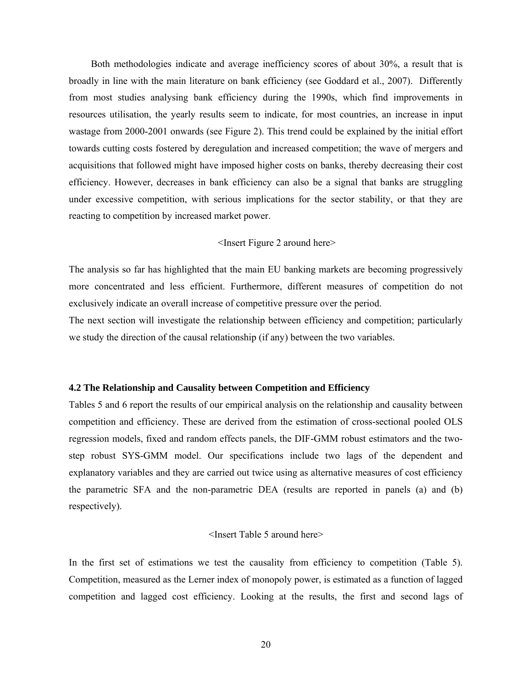Both methodologies indicate and average inefficiency scores of about 30%, a result that is broadly in line with the main literature on bank efficiency (see Goddard et al., 2007). Differently from most studies analysing bank efficiency during the 1990s, which find improvements in resources utilisation, the yearly results seem to indicate, for most countries, an increase in input wastage from 2000-2001 onwards (see Figure 2). This trend could be explained by the initial effort towards cutting costs fostered by deregulation and increased competition; the wave of mergers and acquisitions that followed might have imposed higher costs on banks, thereby decreasing their cost efficiency. However, decreases in bank efficiency can also be a signal that banks are struggling under excessive competition, with serious implications for the sector stability, or that they are reacting to competition by increased market power.

### <Insert Figure 2 around here>

The analysis so far has highlighted that the main EU banking markets are becoming progressively more concentrated and less efficient. Furthermore, different measures of competition do not exclusively indicate an overall increase of competitive pressure over the period.

The next section will investigate the relationship between efficiency and competition; particularly we study the direction of the causal relationship (if any) between the two variables.

### **4.2 The Relationship and Causality between Competition and Efficiency**

Tables 5 and 6 report the results of our empirical analysis on the relationship and causality between competition and efficiency. These are derived from the estimation of cross-sectional pooled OLS regression models, fixed and random effects panels, the DIF-GMM robust estimators and the twostep robust SYS-GMM model. Our specifications include two lags of the dependent and explanatory variables and they are carried out twice using as alternative measures of cost efficiency the parametric SFA and the non-parametric DEA (results are reported in panels (a) and (b) respectively).

#### <Insert Table 5 around here>

In the first set of estimations we test the causality from efficiency to competition (Table 5). Competition, measured as the Lerner index of monopoly power, is estimated as a function of lagged competition and lagged cost efficiency. Looking at the results, the first and second lags of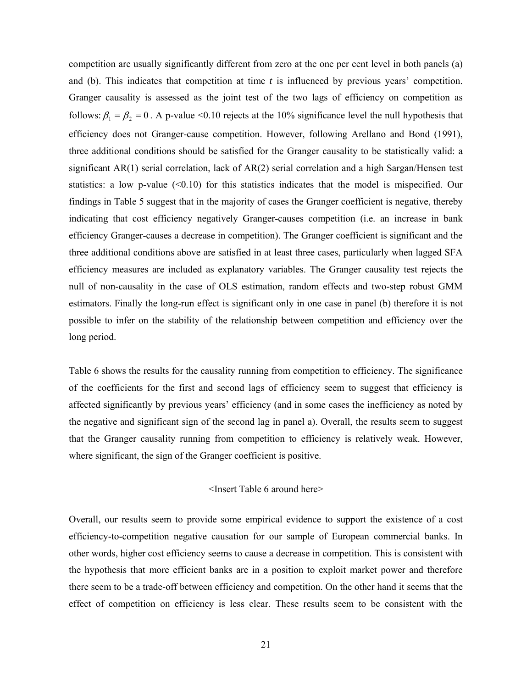competition are usually significantly different from zero at the one per cent level in both panels (a) and (b). This indicates that competition at time *t* is influenced by previous years' competition. Granger causality is assessed as the joint test of the two lags of efficiency on competition as follows:  $\beta_1 = \beta_2 = 0$ . A p-value <0.10 rejects at the 10% significance level the null hypothesis that efficiency does not Granger-cause competition. However, following Arellano and Bond (1991), three additional conditions should be satisfied for the Granger causality to be statistically valid: a significant AR(1) serial correlation, lack of AR(2) serial correlation and a high Sargan/Hensen test statistics: a low p-value (<0.10) for this statistics indicates that the model is mispecified. Our findings in Table 5 suggest that in the majority of cases the Granger coefficient is negative, thereby indicating that cost efficiency negatively Granger-causes competition (i.e. an increase in bank efficiency Granger-causes a decrease in competition). The Granger coefficient is significant and the three additional conditions above are satisfied in at least three cases, particularly when lagged SFA efficiency measures are included as explanatory variables. The Granger causality test rejects the null of non-causality in the case of OLS estimation, random effects and two-step robust GMM estimators. Finally the long-run effect is significant only in one case in panel (b) therefore it is not possible to infer on the stability of the relationship between competition and efficiency over the long period.

Table 6 shows the results for the causality running from competition to efficiency. The significance of the coefficients for the first and second lags of efficiency seem to suggest that efficiency is affected significantly by previous years' efficiency (and in some cases the inefficiency as noted by the negative and significant sign of the second lag in panel a). Overall, the results seem to suggest that the Granger causality running from competition to efficiency is relatively weak. However, where significant, the sign of the Granger coefficient is positive.

## <Insert Table 6 around here>

Overall, our results seem to provide some empirical evidence to support the existence of a cost efficiency-to-competition negative causation for our sample of European commercial banks. In other words, higher cost efficiency seems to cause a decrease in competition. This is consistent with the hypothesis that more efficient banks are in a position to exploit market power and therefore there seem to be a trade-off between efficiency and competition. On the other hand it seems that the effect of competition on efficiency is less clear. These results seem to be consistent with the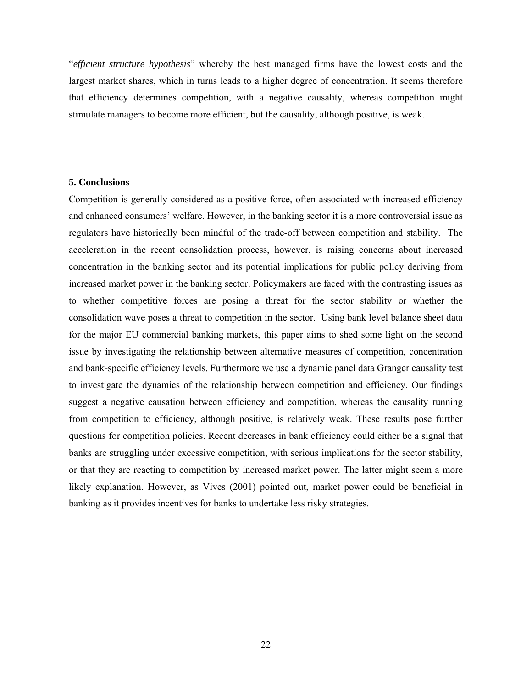"*efficient structure hypothesis*" whereby the best managed firms have the lowest costs and the largest market shares, which in turns leads to a higher degree of concentration. It seems therefore that efficiency determines competition, with a negative causality, whereas competition might stimulate managers to become more efficient, but the causality, although positive, is weak.

## **5. Conclusions**

Competition is generally considered as a positive force, often associated with increased efficiency and enhanced consumers' welfare. However, in the banking sector it is a more controversial issue as regulators have historically been mindful of the trade-off between competition and stability. The acceleration in the recent consolidation process, however, is raising concerns about increased concentration in the banking sector and its potential implications for public policy deriving from increased market power in the banking sector. Policymakers are faced with the contrasting issues as to whether competitive forces are posing a threat for the sector stability or whether the consolidation wave poses a threat to competition in the sector. Using bank level balance sheet data for the major EU commercial banking markets, this paper aims to shed some light on the second issue by investigating the relationship between alternative measures of competition, concentration and bank-specific efficiency levels. Furthermore we use a dynamic panel data Granger causality test to investigate the dynamics of the relationship between competition and efficiency. Our findings suggest a negative causation between efficiency and competition, whereas the causality running from competition to efficiency, although positive, is relatively weak. These results pose further questions for competition policies. Recent decreases in bank efficiency could either be a signal that banks are struggling under excessive competition, with serious implications for the sector stability, or that they are reacting to competition by increased market power. The latter might seem a more likely explanation. However, as Vives (2001) pointed out, market power could be beneficial in banking as it provides incentives for banks to undertake less risky strategies.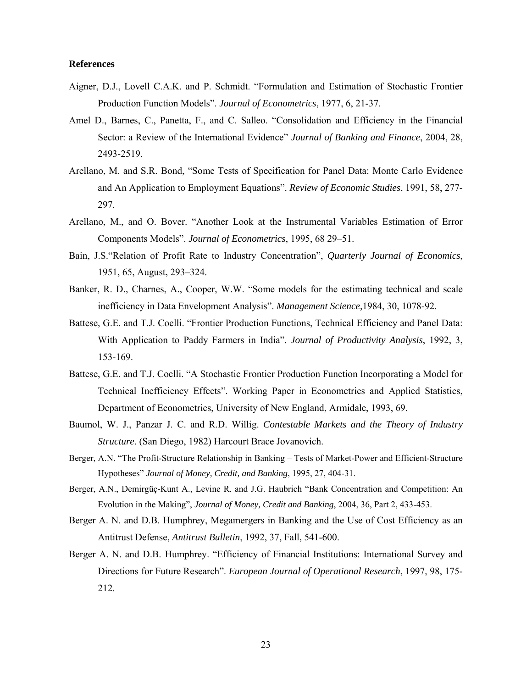## **References**

- Aigner, D.J., Lovell C.A.K. and P. Schmidt. "Formulation and Estimation of Stochastic Frontier Production Function Models". *Journal of Econometrics*, 1977, 6, 21-37.
- Amel D., Barnes, C., Panetta, F., and C. Salleo. "Consolidation and Efficiency in the Financial Sector: a Review of the International Evidence" *Journal of Banking and Finance*, 2004, 28, 2493-2519.
- Arellano, M. and S.R. Bond, "Some Tests of Specification for Panel Data: Monte Carlo Evidence and An Application to Employment Equations". *Review of Economic Studies*, 1991, 58, 277- 297.
- Arellano, M., and O. Bover. "Another Look at the Instrumental Variables Estimation of Error Components Models". *Journal of Econometrics*, 1995, 68 29–51.
- Bain, J.S."Relation of Profit Rate to Industry Concentration", *Quarterly Journal of Economics*, 1951, 65, August, 293–324.
- Banker, R. D., Charnes, A., Cooper, W.W. "Some models for the estimating technical and scale inefficiency in Data Envelopment Analysis". *Management Science,*1984, 30, 1078-92.
- Battese, G.E. and T.J. Coelli. "Frontier Production Functions, Technical Efficiency and Panel Data: With Application to Paddy Farmers in India". *Journal of Productivity Analysis*, 1992, 3, 153-169.
- Battese, G.E. and T.J. Coelli. "A Stochastic Frontier Production Function Incorporating a Model for Technical Inefficiency Effects". Working Paper in Econometrics and Applied Statistics, Department of Econometrics, University of New England, Armidale, 1993, 69.
- Baumol, W. J., Panzar J. C. and R.D. Willig. *Contestable Markets and the Theory of Industry Structure*. (San Diego, 1982) Harcourt Brace Jovanovich.
- Berger, A.N. "The Profit-Structure Relationship in Banking Tests of Market-Power and Efficient-Structure Hypotheses" *Journal of Money, Credit, and Banking*, 1995, 27, 404-31.
- Berger, A.N., Demirgüç-Kunt A., Levine R. and J.G. Haubrich "Bank Concentration and Competition: An Evolution in the Making", *Journal of Money, Credit and Banking*, 2004, 36, Part 2, 433-453.
- Berger A. N. and D.B. Humphrey, Megamergers in Banking and the Use of Cost Efficiency as an Antitrust Defense, *Antitrust Bulletin*, 1992, 37, Fall, 541-600.
- Berger A. N. and D.B. Humphrey. "Efficiency of Financial Institutions: International Survey and Directions for Future Research". *European Journal of Operational Research*, 1997, 98, 175- 212.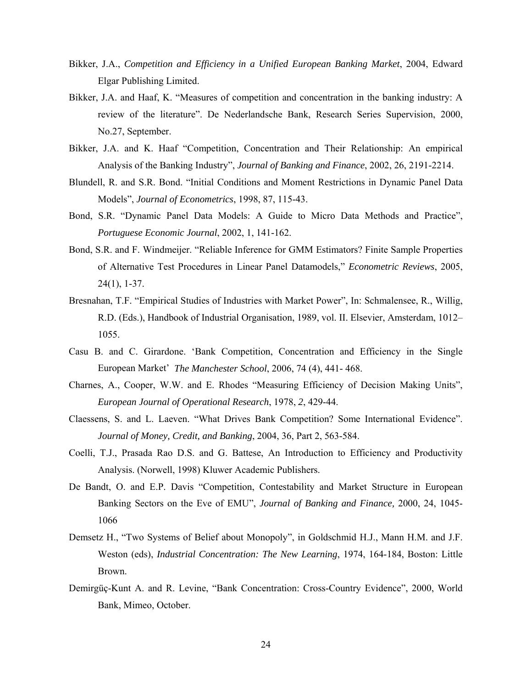- Bikker, J.A., *Competition and Efficiency in a Unified European Banking Market*, 2004, Edward Elgar Publishing Limited.
- Bikker, J.A. and Haaf, K. "Measures of competition and concentration in the banking industry: A review of the literature". De Nederlandsche Bank, Research Series Supervision, 2000, No.27, September.
- Bikker, J.A. and K. Haaf "Competition, Concentration and Their Relationship: An empirical Analysis of the Banking Industry", *Journal of Banking and Finance*, 2002, 26, 2191-2214.
- Blundell, R. and S.R. Bond. "Initial Conditions and Moment Restrictions in Dynamic Panel Data Models", *Journal of Econometrics*, 1998, 87, 115-43.
- Bond, S.R. "Dynamic Panel Data Models: A Guide to Micro Data Methods and Practice", *Portuguese Economic Journal*, 2002, 1, 141-162.
- Bond, S.R. and F. Windmeijer. "Reliable Inference for GMM Estimators? Finite Sample Properties of Alternative Test Procedures in Linear Panel Datamodels," *Econometric Reviews*, 2005, 24(1), 1-37.
- Bresnahan, T.F. "Empirical Studies of Industries with Market Power", In: Schmalensee, R., Willig, R.D. (Eds.), Handbook of Industrial Organisation, 1989, vol. II. Elsevier, Amsterdam, 1012– 1055.
- Casu B. and C. Girardone. 'Bank Competition, Concentration and Efficiency in the Single European Market' *The Manchester School*, 2006, 74 (4), 441- 468.
- Charnes, A., Cooper, W.W. and E. Rhodes "Measuring Efficiency of Decision Making Units", *European Journal of Operational Research*, 1978, *2*, 429-44.
- Claessens, S. and L. Laeven. "What Drives Bank Competition? Some International Evidence". *Journal of Money, Credit, and Banking*, 2004, 36, Part 2, 563-584.
- Coelli, T.J., Prasada Rao D.S. and G. Battese, An Introduction to Efficiency and Productivity Analysis. (Norwell, 1998) Kluwer Academic Publishers.
- De Bandt, O. and E.P. Davis "Competition, Contestability and Market Structure in European Banking Sectors on the Eve of EMU", *Journal of Banking and Finance,* 2000, 24, 1045- 1066
- Demsetz H., "Two Systems of Belief about Monopoly", in Goldschmid H.J., Mann H.M. and J.F. Weston (eds), *Industrial Concentration: The New Learning*, 1974, 164-184, Boston: Little Brown.
- Demirgüç-Kunt A. and R. Levine, "Bank Concentration: Cross-Country Evidence", 2000, World Bank, Mimeo, October.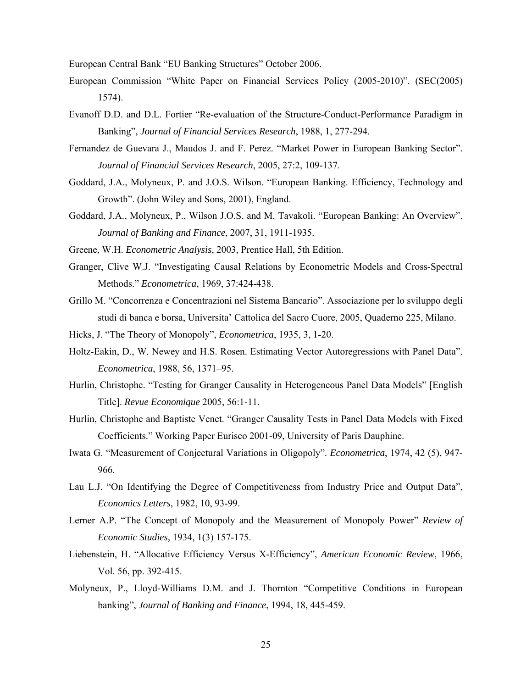European Central Bank "EU Banking Structures" October 2006.

- European Commission "White Paper on Financial Services Policy (2005-2010)". (SEC(2005) 1574).
- Evanoff D.D. and D.L. Fortier "Re-evaluation of the Structure-Conduct-Performance Paradigm in Banking", *Journal of Financial Services Research*, 1988, 1, 277-294.
- Fernandez de Guevara J., Maudos J. and F. Perez. "Market Power in European Banking Sector". *Journal of Financial Services Research*, 2005, 27:2, 109-137.
- Goddard, J.A., Molyneux, P. and J.O.S. Wilson. "European Banking. Efficiency, Technology and Growth". (John Wiley and Sons, 2001), England.
- Goddard, J.A., Molyneux, P., Wilson J.O.S. and M. Tavakoli. "European Banking: An Overview". *Journal of Banking and Finance*, 2007, 31, 1911-1935.
- Greene, W.H. *Econometric Analysis*, 2003, Prentice Hall, 5th Edition.
- Granger, Clive W.J. "Investigating Causal Relations by Econometric Models and Cross-Spectral Methods." *Econometrica*, 1969, 37:424-438.
- Grillo M. "Concorrenza e Concentrazioni nel Sistema Bancario". Associazione per lo sviluppo degli studi di banca e borsa, Universita' Cattolica del Sacro Cuore, 2005, Quaderno 225, Milano.
- Hicks, J. "The Theory of Monopoly", *Econometrica*, 1935, 3, 1-20.
- Holtz-Eakin, D., W. Newey and H.S. Rosen. Estimating Vector Autoregressions with Panel Data". *Econometrica*, 1988, 56, 1371–95.
- Hurlin, Christophe. "Testing for Granger Causality in Heterogeneous Panel Data Models" [English Title]. *Revue Economique* 2005, 56:1-11.
- Hurlin, Christophe and Baptiste Venet. "Granger Causality Tests in Panel Data Models with Fixed Coefficients." Working Paper Eurisco 2001-09, University of Paris Dauphine.
- Iwata G. "Measurement of Conjectural Variations in Oligopoly". *Econometrica*, 1974, 42 (5), 947- 966.
- Lau L.J. "On Identifying the Degree of Competitiveness from Industry Price and Output Data", *Economics Letters*, 1982, 10, 93-99.
- Lerner A.P. "The Concept of Monopoly and the Measurement of Monopoly Power" *Review of Economic Studies,* 1934, 1(3) 157-175.
- Liebenstein, H. "Allocative Efficiency Versus X-Efficiency", *American Economic Review*, 1966, Vol. 56, pp. 392-415.
- Molyneux, P., Lloyd-Williams D.M. and J. Thornton "Competitive Conditions in European banking", *Journal of Banking and Finance*, 1994, 18, 445-459.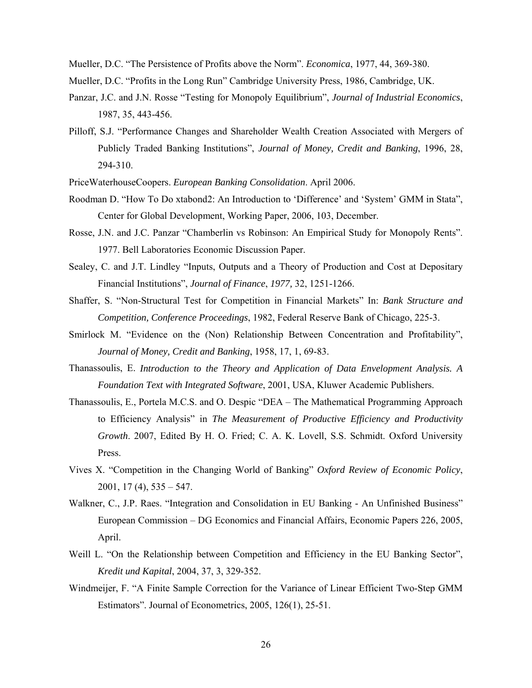Mueller, D.C. "The Persistence of Profits above the Norm". *Economica*, 1977, 44, 369-380.

- Mueller, D.C. "Profits in the Long Run" Cambridge University Press, 1986, Cambridge, UK.
- Panzar, J.C. and J.N. Rosse "Testing for Monopoly Equilibrium", *Journal of Industrial Economics*, 1987, 35, 443-456.
- Pilloff, S.J. "Performance Changes and Shareholder Wealth Creation Associated with Mergers of Publicly Traded Banking Institutions", *Journal of Money, Credit and Banking*, 1996, 28, 294-310.
- PriceWaterhouseCoopers. *European Banking Consolidation*. April 2006.
- Roodman D. "How To Do xtabond2: An Introduction to 'Difference' and 'System' GMM in Stata", Center for Global Development, Working Paper, 2006, 103, December.
- Rosse, J.N. and J.C. Panzar "Chamberlin vs Robinson: An Empirical Study for Monopoly Rents". 1977. Bell Laboratories Economic Discussion Paper.
- Sealey, C. and J.T. Lindley "Inputs, Outputs and a Theory of Production and Cost at Depositary Financial Institutions", *Journal of Finance*, *1977,* 32, 1251-1266.
- Shaffer, S. "Non-Structural Test for Competition in Financial Markets" In: *Bank Structure and Competition, Conference Proceedings*, 1982, Federal Reserve Bank of Chicago, 225-3.
- Smirlock M. "Evidence on the (Non) Relationship Between Concentration and Profitability", *Journal of Money, Credit and Banking*, 1958, 17, 1, 69-83.
- Thanassoulis, E. *Introduction to the Theory and Application of Data Envelopment Analysis. A Foundation Text with Integrated Software*, 2001, USA, Kluwer Academic Publishers.
- Thanassoulis, E., Portela M.C.S. and O. Despic "DEA The Mathematical Programming Approach to Efficiency Analysis" in *The Measurement of Productive Efficiency and Productivity Growth*. 2007, Edited By H. O. Fried; C. A. K. Lovell, S.S. Schmidt. Oxford University Press.
- Vives X. "Competition in the Changing World of Banking" *Oxford Review of Economic Policy*,  $2001, 17 (4), 535 - 547.$
- Walkner, C., J.P. Raes. "Integration and Consolidation in EU Banking An Unfinished Business" European Commission – DG Economics and Financial Affairs, Economic Papers 226, 2005, April.
- Weill L. "On the Relationship between Competition and Efficiency in the EU Banking Sector", *Kredit und Kapital*, 2004, 37, 3, 329-352.
- Windmeijer, F. "A Finite Sample Correction for the Variance of Linear Efficient Two-Step GMM Estimators". Journal of Econometrics, 2005, 126(1), 25-51.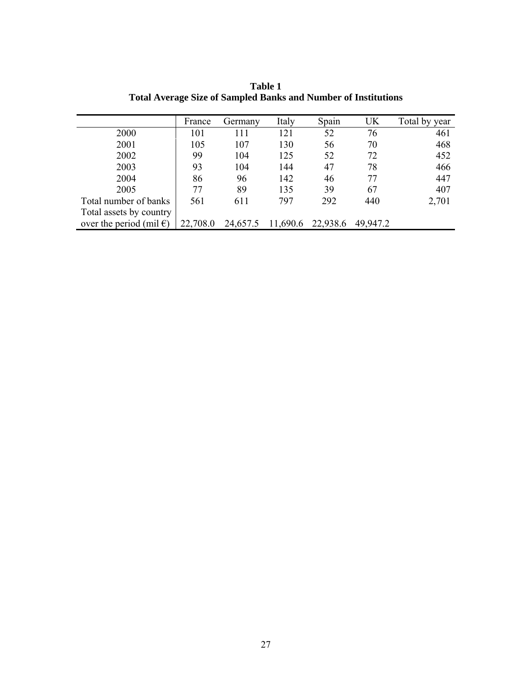|                                   | France   | Germany  | Italy    | Spain    | UK       | Total by year |
|-----------------------------------|----------|----------|----------|----------|----------|---------------|
| 2000                              | 101      | 111      | 121      | 52       | 76       | 461           |
| 2001                              | 105      | 107      | 130      | 56       | 70       | 468           |
| 2002                              | 99       | 104      | 125      | 52       | 72       | 452           |
| 2003                              | 93       | 104      | 144      | 47       | 78       | 466           |
| 2004                              | 86       | 96       | 142      | 46       | 77       | 447           |
| 2005                              | 77       | 89       | 135      | 39       | 67       | 407           |
| Total number of banks             | 561      | 611      | 797      | 292      | 440      | 2,701         |
| Total assets by country           |          |          |          |          |          |               |
| over the period (mil $\epsilon$ ) | 22,708.0 | 24,657.5 | 11,690.6 | 22,938.6 | 49,947.2 |               |

**Table 1 Total Average Size of Sampled Banks and Number of Institutions**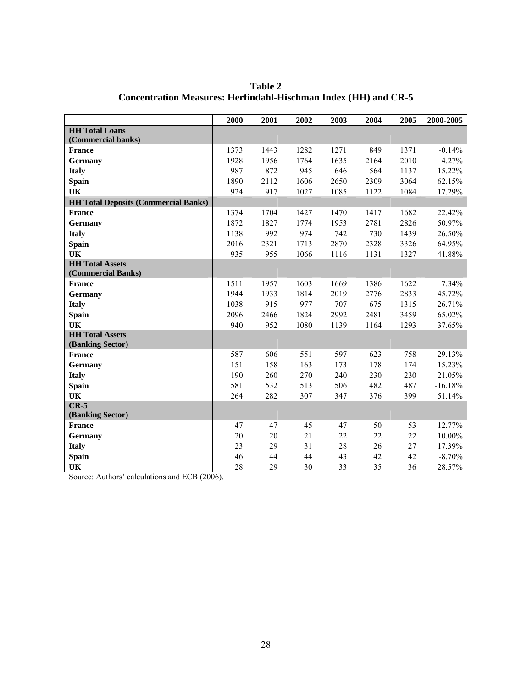|                                             | 2000       | 2001 | 2002 | 2003 | 2004       | 2005 | 2000-2005 |
|---------------------------------------------|------------|------|------|------|------------|------|-----------|
| <b>HH Total Loans</b>                       |            |      |      |      |            |      |           |
| (Commercial banks)                          |            |      |      |      |            |      |           |
| <b>France</b>                               | 1373       | 1443 | 1282 | 1271 | 849        | 1371 | $-0.14%$  |
| <b>Germany</b>                              | 1928       | 1956 | 1764 | 1635 | 2164       | 2010 | 4.27%     |
| <b>Italy</b>                                | 987        | 872  | 945  | 646  | 564        | 1137 | 15.22%    |
| <b>Spain</b>                                | 1890       | 2112 | 1606 | 2650 | 2309       | 3064 | 62.15%    |
| <b>UK</b>                                   | 924        | 917  | 1027 | 1085 | 1122       | 1084 | 17.29%    |
| <b>HH Total Deposits (Commercial Banks)</b> |            |      |      |      |            |      |           |
| <b>France</b>                               | 1374       | 1704 | 1427 | 1470 | 1417       | 1682 | 22.42%    |
| <b>Germany</b>                              | 1872       | 1827 | 1774 | 1953 | 2781       | 2826 | 50.97%    |
| <b>Italy</b>                                | 1138       | 992  | 974  | 742  | 730        | 1439 | 26.50%    |
| Spain                                       | 2016       | 2321 | 1713 | 2870 | 2328       | 3326 | 64.95%    |
| UK                                          | 935        | 955  | 1066 | 1116 | 1131       | 1327 | 41.88%    |
| <b>HH Total Assets</b>                      |            |      |      |      |            |      |           |
| (Commercial Banks)                          |            |      |      |      |            |      |           |
| <b>France</b>                               | 1511       | 1957 | 1603 | 1669 | 1386       | 1622 | 7.34%     |
| <b>Germany</b>                              | 1944       | 1933 | 1814 | 2019 | 2776       | 2833 | 45.72%    |
| <b>Italy</b>                                | 1038       | 915  | 977  | 707  | 675        | 1315 | 26.71%    |
| <b>Spain</b>                                | 2096       | 2466 | 1824 | 2992 | 2481       | 3459 | 65.02%    |
| UK                                          | 940        | 952  | 1080 | 1139 | 1164       | 1293 | 37.65%    |
| <b>HH Total Assets</b>                      |            |      |      |      |            |      |           |
| (Banking Sector)                            |            |      |      |      |            |      |           |
| <b>France</b>                               | 587        | 606  | 551  | 597  | 623        | 758  | 29.13%    |
| <b>Germany</b>                              | 151        | 158  | 163  | 173  | 178        | 174  | 15.23%    |
| <b>Italy</b>                                | 190<br>581 | 260  | 270  | 240  | 230<br>482 | 230  | 21.05%    |
| <b>Spain</b>                                |            | 532  | 513  | 506  |            | 487  | $-16.18%$ |
| <b>UK</b><br>$CR-5$                         | 264        | 282  | 307  | 347  | 376        | 399  | 51.14%    |
| (Banking Sector)                            |            |      |      |      |            |      |           |
| <b>France</b>                               | 47         | 47   | 45   | 47   | 50         | 53   | 12.77%    |
| <b>Germany</b>                              | 20         | 20   | 21   | 22   | 22         | 22   | 10.00%    |
| <b>Italy</b>                                | 23         | 29   | 31   | 28   | 26         | 27   | 17.39%    |
| <b>Spain</b>                                | 46         | 44   | 44   | 43   | 42         | 42   | $-8.70%$  |
| UK                                          | 28         | 29   | 30   | 33   | 35         | 36   | 28.57%    |

**Table 2 Concentration Measures: Herfindahl-Hischman Index (HH) and CR-5** 

Source: Authors' calculations and ECB (2006).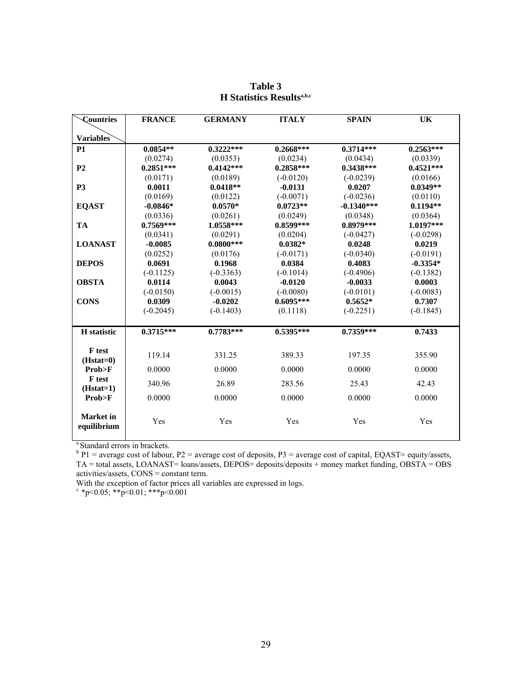| <b>Countries</b>                | <b>FRANCE</b> | <b>GERMANY</b> | <b>ITALY</b> | <b>SPAIN</b> | UK          |
|---------------------------------|---------------|----------------|--------------|--------------|-------------|
| <b>Variables</b>                |               |                |              |              |             |
| <b>P1</b>                       | $0.0854**$    | $0.3222***$    | $0.2668***$  | $0.3714***$  | $0.2563***$ |
|                                 | (0.0274)      | (0.0353)       | (0.0234)     | (0.0434)     | (0.0339)    |
| P <sub>2</sub>                  | $0.2851***$   | $0.4142***$    | $0.2858***$  | $0.3438***$  | $0.4521***$ |
|                                 | (0.0171)      | (0.0189)       | $(-0.0120)$  | $(-0.0239)$  | (0.0166)    |
| <b>P3</b>                       | 0.0011        | $0.0418**$     | $-0.0131$    | 0.0207       | $0.0349**$  |
|                                 | (0.0169)      | (0.0122)       | $(-0.0071)$  | $(-0.0236)$  | (0.0110)    |
| <b>EQAST</b>                    | $-0.0846*$    | $0.0570*$      | $0.0723**$   | $-0.1340***$ | $0.1194**$  |
|                                 | (0.0336)      | (0.0261)       | (0.0249)     | (0.0348)     | (0.0364)    |
| <b>TA</b>                       | $0.7569***$   | 1.0558***      | $0.8599***$  | 0.8979***    | 1.0197***   |
|                                 | (0.0341)      | (0.0291)       | (0.0204)     | $(-0.0427)$  | $(-0.0298)$ |
| <b>LOANAST</b>                  | $-0.0085$     | $0.0800***$    | $0.0382*$    | 0.0248       | 0.0219      |
|                                 | (0.0252)      | (0.0176)       | $(-0.0171)$  | $(-0.0340)$  | $(-0.0191)$ |
| <b>DEPOS</b>                    | 0.0691        | 0.1968         | 0.0384       | 0.4083       | $-0.3354*$  |
|                                 | $(-0.1125)$   | $(-0.3363)$    | $(-0.1014)$  | $(-0.4906)$  | $(-0.1382)$ |
| <b>OBSTA</b>                    | 0.0114        | 0.0043         | $-0.0120$    | $-0.0033$    | 0.0003      |
|                                 | $(-0.0150)$   | $(-0.0015)$    | $(-0.0080)$  | $(-0.0101)$  | $(-0.0083)$ |
| <b>CONS</b>                     | 0.0309        | $-0.0202$      | $0.6095***$  | $0.5652*$    | 0.7307      |
|                                 | $(-0.2045)$   | $(-0.1403)$    | (0.1118)     | $(-0.2251)$  | $(-0.1845)$ |
| <b>H</b> statistic              | $0.3715***$   | $0.7783***$    | $0.5395***$  | $0.7359***$  | 0.7433      |
| <b>F</b> test<br>$(Hstat=0)$    | 119.14        | 331.25         | 389.33       | 197.35       | 355.90      |
| Prob>F                          | 0.0000        | 0.0000         | 0.0000       | 0.0000       | 0.0000      |
| <b>F</b> test<br>$(Hstat=1)$    | 340.96        | 26.89          | 283.56       | 25.43        | 42.43       |
| Prob>F                          | 0.0000        | 0.0000         | 0.0000       | 0.0000       | 0.0000      |
| <b>Market</b> in<br>equilibrium | Yes           | Yes            | Yes          | Yes          | Yes         |

| Table 3                                      |  |  |  |  |  |  |
|----------------------------------------------|--|--|--|--|--|--|
| <b>H</b> Statistics Results <sup>a,b,c</sup> |  |  |  |  |  |  |

<sup>a</sup> Standard errors in brackets.<br>
<sup>b</sup> P1 = average cost of labour, P2 = average cost of deposits, P3 = average cost of capital, EQAST= equity/assets, TA = total assets, LOANAST= loans/assets, DEPOS= deposits/deposits + money market funding, OBSTA = OBS activities/assets, CONS = constant term.

With the exception of factor prices all variables are expressed in logs.

 $\frac{c}{p}$  \*p<0.05; \*\*p<0.01; \*\*\*p<0.001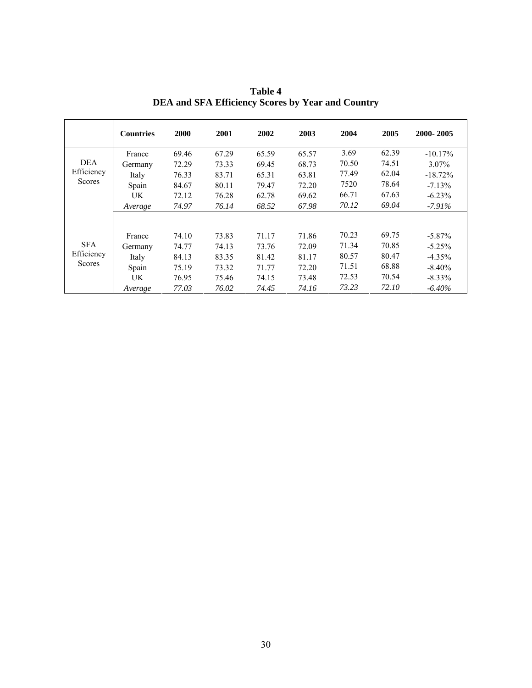|                                           | <b>Countries</b> | 2000  | 2001  | 2002  | 2003  | 2004  | 2005  | 2000-2005  |
|-------------------------------------------|------------------|-------|-------|-------|-------|-------|-------|------------|
|                                           | France           | 69.46 | 67.29 | 65.59 | 65.57 | 3.69  | 62.39 | $-10.17\%$ |
| DEA                                       | Germany          | 72.29 | 73.33 | 69.45 | 68.73 | 70.50 | 74.51 | 3.07%      |
| Efficiency                                | Italy            | 76.33 | 83.71 | 65.31 | 63.81 | 77.49 | 62.04 | $-18.72%$  |
| <b>Scores</b>                             | Spain            | 84.67 | 80.11 | 79.47 | 72.20 | 7520  | 78.64 | $-7.13%$   |
|                                           | UK               | 72.12 | 76.28 | 62.78 | 69.62 | 66.71 | 67.63 | $-6.23%$   |
|                                           | Average          | 74.97 | 76.14 | 68.52 | 67.98 | 70.12 | 69.04 | $-7.91\%$  |
|                                           |                  |       |       |       |       |       |       |            |
| <b>SFA</b><br>Efficiency<br><b>Scores</b> | France           | 74.10 | 73.83 | 71.17 | 71.86 | 70.23 | 69.75 | $-5.87\%$  |
|                                           | Germany          | 74.77 | 74.13 | 73.76 | 72.09 | 71.34 | 70.85 | $-5.25%$   |
|                                           | Italy            | 84.13 | 83.35 | 81.42 | 81.17 | 80.57 | 80.47 | $-4.35%$   |
|                                           | Spain            | 75.19 | 73.32 | 71.77 | 72.20 | 71.51 | 68.88 | $-8.40\%$  |
|                                           | UK               | 76.95 | 75.46 | 74.15 | 73.48 | 72.53 | 70.54 | $-8.33\%$  |
|                                           | Average          | 77.03 | 76.02 | 74.45 | 74.16 | 73.23 | 72.10 | -6.40%     |

**Table 4 DEA and SFA Efficiency Scores by Year and Country**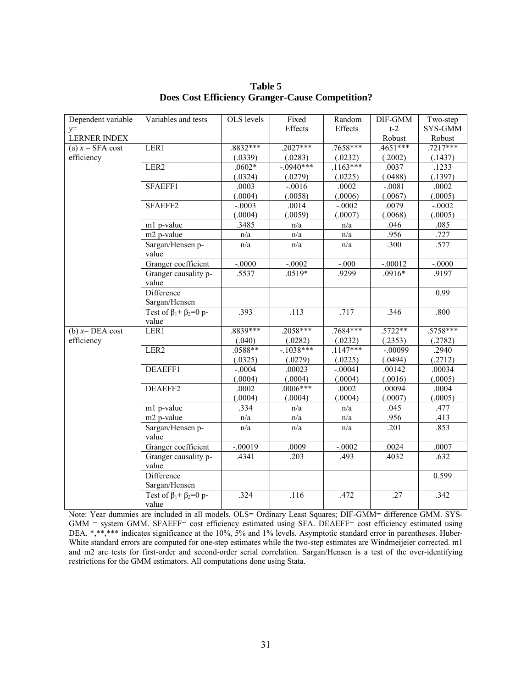| Dependent variable  | Variables and tests                | OLS levels | Fixed        | Random     | DIF-GMM    | Two-step   |
|---------------------|------------------------------------|------------|--------------|------------|------------|------------|
| $y=$                |                                    |            | Effects      | Effects    | $t-2$      | SYS-GMM    |
| <b>LERNER INDEX</b> |                                    |            |              |            | Robust     | Robust     |
| (a) $x =$ SFA cost  | LER1                               | $.8832***$ | $.2027***$   | $.7658***$ | $.4651***$ | $.7217***$ |
| efficiency          |                                    | (.0339)    | (.0283)      | (.0232)    | (.2002)    | (.1437)    |
|                     | LER2                               | $.0602*$   | $-0.0940***$ | $.1163***$ | .0037      | .1233      |
|                     |                                    | (.0324)    | (.0279)      | (.0225)    | (.0488)    | (.1397)    |
|                     | SFAEFF1                            | .0003      | $-.0016$     | .0002      | $-.0081$   | .0002      |
|                     |                                    | (.0004)    | (.0058)      | (.0006)    | (.0067)    | (.0005)    |
|                     | SFAEFF2                            | $-.0003$   | .0014        | $-.0002$   | .0079      | $-.0002$   |
|                     |                                    | (.0004)    | (.0059)      | (.0007)    | (.0068)    | (.0005)    |
|                     | m1 p-value                         | .3485      | n/a          | n/a        | .046       | .085       |
|                     | m2 p-value                         | n/a        | n/a          | n/a        | .956       | .727       |
|                     | Sargan/Hensen p-                   | n/a        | n/a          | n/a        | .300       | .577       |
|                     | value                              |            |              |            |            |            |
|                     | Granger coefficient                | $-.0000$   | $-.0002$     | $-0.000$   | $-.00012$  | $-.0000$   |
|                     | Granger causality p-               | .5537      | .0519*       | .9299      | $.0916*$   | .9197      |
|                     | value                              |            |              |            |            |            |
|                     | Difference                         |            |              |            |            | 0.99       |
|                     | Sargan/Hensen                      |            |              |            |            |            |
|                     | Test of $\beta_1 + \beta_2 = 0$ p- | .393       | .113         | .717       | .346       | .800       |
|                     | value                              |            |              |            |            |            |
| (b) $x=DEA$ cost    | LER1                               | .8839***   | $.2058***$   | $.7684***$ | $.5722**$  | $.5758***$ |
| efficiency          |                                    | (.040)     | (.0282)      | (.0232)    | (.2353)    | (.2782)    |
|                     | LER <sub>2</sub>                   | $.0588**$  | $-1038***$   | $.1147***$ | $-00099$   | .2940      |
|                     |                                    | (.0325)    | (.0279)      | (.0225)    | (.0494)    | (.2712)    |
|                     | DEAEFF1                            | $-.0004$   | .00023       | $-.00041$  | .00142     | .00034     |
|                     |                                    | (.0004)    | (.0004)      | (.0004)    | (.0016)    | (.0005)    |
|                     | DEAEFF2                            | .0002      | $.0006***$   | .0002      | .00094     | .0004      |
|                     |                                    | (.0004)    | (.0004)      | (.0004)    | (.0007)    | (.0005)    |
|                     | m1 p-value                         | .334       | n/a          | n/a        | .045       | .477       |
|                     | m2 p-value                         | n/a        | n/a          | n/a        | .956       | .413       |
|                     | Sargan/Hensen p-                   | n/a        | n/a          | n/a        | .201       | .853       |
|                     | value                              |            |              |            |            |            |
|                     | Granger coefficient                | $-.00019$  | .0009        | $-.0002$   | .0024      | .0007      |
|                     | Granger causality p-               | .4341      | .203         | .493       | .4032      | .632       |
|                     | value                              |            |              |            |            |            |
|                     | Difference                         |            |              |            |            | 0.599      |
|                     | Sargan/Hensen                      |            |              |            |            |            |
|                     | Test of $\beta_1 + \beta_2 = 0$ p- | .324       | .116         | .472       | .27        | .342       |
|                     | value                              |            |              |            |            |            |

**Table 5 Does Cost Efficiency Granger-Cause Competition?** 

Note: Year dummies are included in all models. OLS= Ordinary Least Squares; DIF-GMM= difference GMM. SYS-GMM = system GMM. SFAEFF= cost efficiency estimated using SFA. DEAEFF= cost efficiency estimated using DEA. \*,\*\*\*\* indicates significance at the 10%, 5% and 1% levels. Asymptotic standard error in parentheses. Huber-White standard errors are computed for one-step estimates while the two-step estimates are Windmeijeier corrected. m1 and m2 are tests for first-order and second-order serial correlation. Sargan/Hensen is a test of the over-identifying restrictions for the GMM estimators. All computations done using Stata.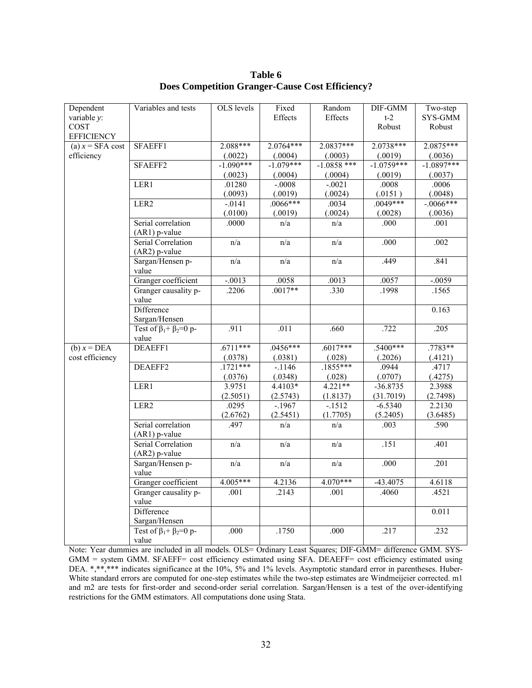| Dependent          | Variables and tests                | OLS levels  | Fixed       | Random        | DIF-GMM      | Two-step     |
|--------------------|------------------------------------|-------------|-------------|---------------|--------------|--------------|
| variable y:        |                                    |             | Effects     | Effects       | $t-2$        | SYS-GMM      |
| COST               |                                    |             |             |               | Robust       | Robust       |
| <b>EFFICIENCY</b>  |                                    |             |             |               |              |              |
| (a) $x =$ SFA cost | SFAEFF1                            | 2.088***    | $2.0764***$ | $2.0837***$   | $2.0738***$  | $2.0875***$  |
| efficiency         |                                    | (.0022)     | (.0004)     | (.0003)       | (.0019)      | (.0036)      |
|                    | SFAEFF2                            | $-1.090***$ | $-1.079***$ | $-1.0858$ *** | $-1.0759***$ | $-1.0897***$ |
|                    |                                    | (.0023)     | (.0004)     | (.0004)       | (.0019)      | (.0037)      |
|                    | LER1                               | .01280      | $-0008$     | $-0021$       | .0008        | .0006        |
|                    |                                    | (.0093)     | (.0019)     | (.0024)       | (.0151)      | (.0048)      |
|                    | LER <sub>2</sub>                   | $-0141$     | $.0066***$  | .0034         | $.0049***$   | $-.0066***$  |
|                    |                                    | (.0100)     | (.0019)     | (.0024)       | (.0028)      | (.0036)      |
|                    | Serial correlation                 | .0000       | n/a         | n/a           | .000         | .001         |
|                    | $(AR1)$ p-value                    |             |             |               |              |              |
|                    | Serial Correlation                 | n/a         | n/a         | n/a           | .000         | .002         |
|                    | $(AR2)$ p-value                    |             |             |               |              |              |
|                    | Sargan/Hensen p-                   | n/a         | n/a         | n/a           | .449         | .841         |
|                    | value                              |             |             |               |              |              |
|                    | Granger coefficient                | $-.0013$    | .0058       | .0013         | .0057        | $-.0059$     |
|                    | Granger causality p-               | .2206       | $.0017**$   | .330          | .1998        | .1565        |
|                    | value                              |             |             |               |              |              |
|                    | Difference                         |             |             |               |              | 0.163        |
|                    | Sargan/Hensen                      |             |             |               |              |              |
|                    | Test of $\beta_1 + \beta_2 = 0$ p- | .911        | .011        | .660          | .722         | .205         |
|                    | value                              |             |             |               |              |              |
| (b) $x = DEA$      | DEAEFF1                            | $.6711***$  | $.0456***$  | $.6017***$    | $.5400***$   | $.7783**$    |
| cost efficiency    |                                    | (.0378)     | (.0381)     | (.028)        | (.2026)      | (.4121)      |
|                    | DEAEFF2                            | $.1721***$  | $-1146$     | $.1855***$    | .0944        | .4717        |
|                    |                                    | (.0376)     | (.0348)     | (.028)        | (.0707)      | (.4275)      |
|                    | LER1                               | 3.9751      | 4.4103*     | $4.221**$     | $-36.8735$   | 2.3988       |
|                    |                                    | (2.5051)    | (2.5743)    | (1.8137)      | (31.7019)    | (2.7498)     |
|                    | LER2                               | .0295       | $-1967$     | $-1512$       | $-6.5340$    | 2.2130       |
|                    |                                    | (2.6762)    | (2.5451)    | (1.7705)      | (5.2405)     | (3.6485)     |
|                    | Serial correlation                 | .497        | n/a         | n/a           | .003         | .590         |
|                    | $(AR1)$ p-value                    |             |             |               |              |              |
|                    | Serial Correlation                 | n/a         | n/a         | n/a           | .151         | .401         |
|                    | $(AR2)$ p-value                    |             |             |               |              |              |
|                    | Sargan/Hensen p-                   | n/a         | n/a         | n/a           | .000         | .201         |
|                    | value                              |             |             |               |              |              |
|                    | Granger coefficient                | 4.005***    | 4.2136      | $4.070***$    | $-43.4075$   | 4.6118       |
|                    | Granger causality p-               | .001        | .2143       | .001          | .4060        | .4521        |
|                    | value                              |             |             |               |              |              |
|                    | Difference                         |             |             |               |              | 0.011        |
|                    | Sargan/Hensen                      |             |             |               |              |              |
|                    | Test of $\beta_1 + \beta_2 = 0$ p- | .000        | .1750       | .000          | .217         | .232         |
|                    | value                              |             |             |               |              |              |

**Table 6 Does Competition Granger-Cause Cost Efficiency?** 

Note: Year dummies are included in all models. OLS= Ordinary Least Squares; DIF-GMM= difference GMM. SYS-GMM = system GMM. SFAEFF= cost efficiency estimated using SFA. DEAEFF= cost efficiency estimated using DEA. \*,\*\*,\*\*\* indicates significance at the 10%, 5% and 1% levels. Asymptotic standard error in parentheses. Huber-White standard errors are computed for one-step estimates while the two-step estimates are Windmeijeier corrected. m1 and m2 are tests for first-order and second-order serial correlation. Sargan/Hensen is a test of the over-identifying restrictions for the GMM estimators. All computations done using Stata.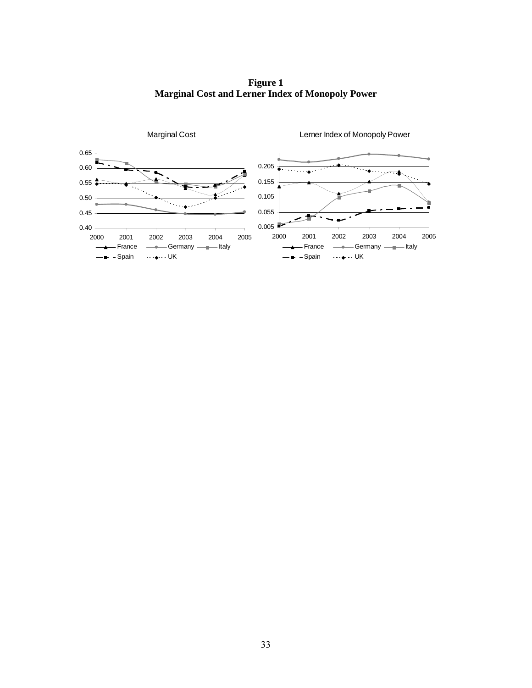**Figure 1 Marginal Cost and Lerner Index of Monopoly Power**